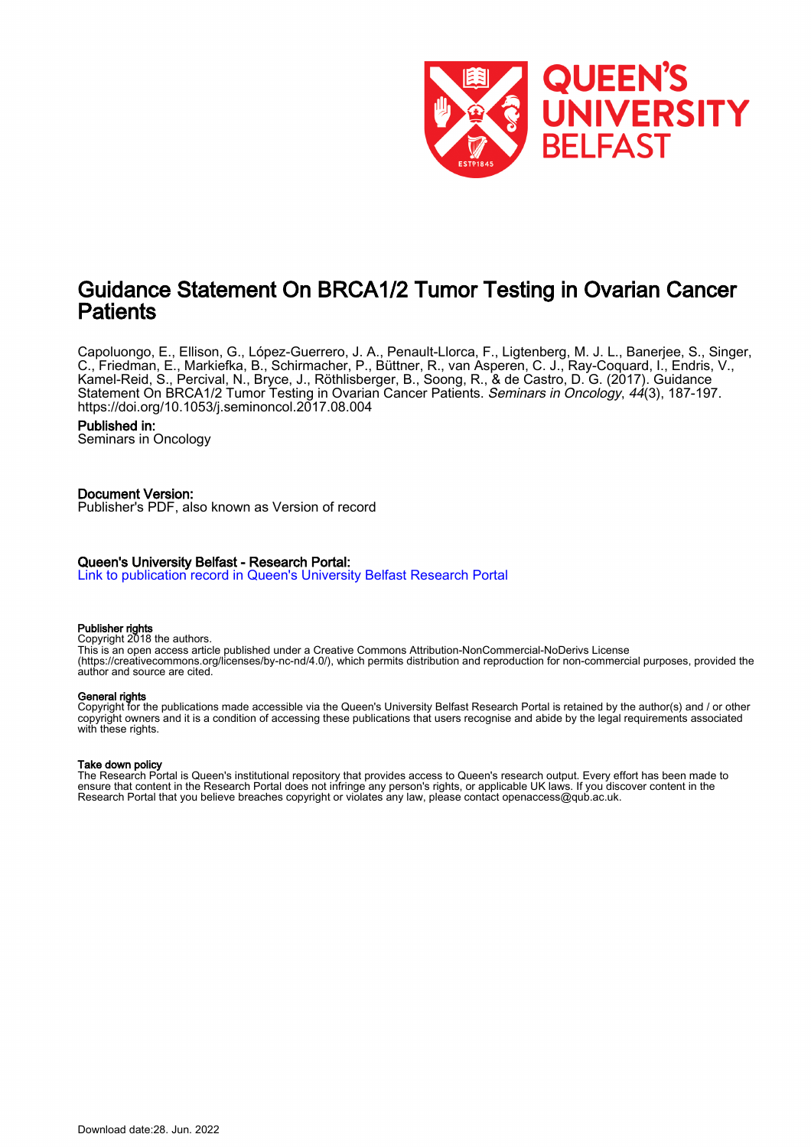

# Guidance Statement On BRCA1/2 Tumor Testing in Ovarian Cancer **Patients**

Capoluongo, E., Ellison, G., López-Guerrero, J. A., Penault-Llorca, F., Ligtenberg, M. J. L., Banerjee, S., Singer, C., Friedman, E., Markiefka, B., Schirmacher, P., Büttner, R., van Asperen, C. J., Ray-Coquard, I., Endris, V., Kamel-Reid, S., Percival, N., Bryce, J., Röthlisberger, B., Soong, R., & de Castro, D. G. (2017). Guidance Statement On BRCA1/2 Tumor Testing in Ovarian Cancer Patients. Seminars in Oncology, 44(3), 187-197. <https://doi.org/10.1053/j.seminoncol.2017.08.004>

# Published in:

Seminars in Oncology

# Document Version:

Publisher's PDF, also known as Version of record

# Queen's University Belfast - Research Portal:

[Link to publication record in Queen's University Belfast Research Portal](https://pure.qub.ac.uk/en/publications/47fa1be9-ecaa-4a30-9413-84f17e6d1b01)

# Publisher rights

Copyright 2018 the authors.

This is an open access article published under a Creative Commons Attribution-NonCommercial-NoDerivs License (https://creativecommons.org/licenses/by-nc-nd/4.0/), which permits distribution and reproduction for non-commercial purposes, provided the author and source are cited.

## General rights

Copyright for the publications made accessible via the Queen's University Belfast Research Portal is retained by the author(s) and / or other copyright owners and it is a condition of accessing these publications that users recognise and abide by the legal requirements associated with these rights.

### Take down policy

The Research Portal is Queen's institutional repository that provides access to Queen's research output. Every effort has been made to ensure that content in the Research Portal does not infringe any person's rights, or applicable UK laws. If you discover content in the Research Portal that you believe breaches copyright or violates any law, please contact openaccess@qub.ac.uk.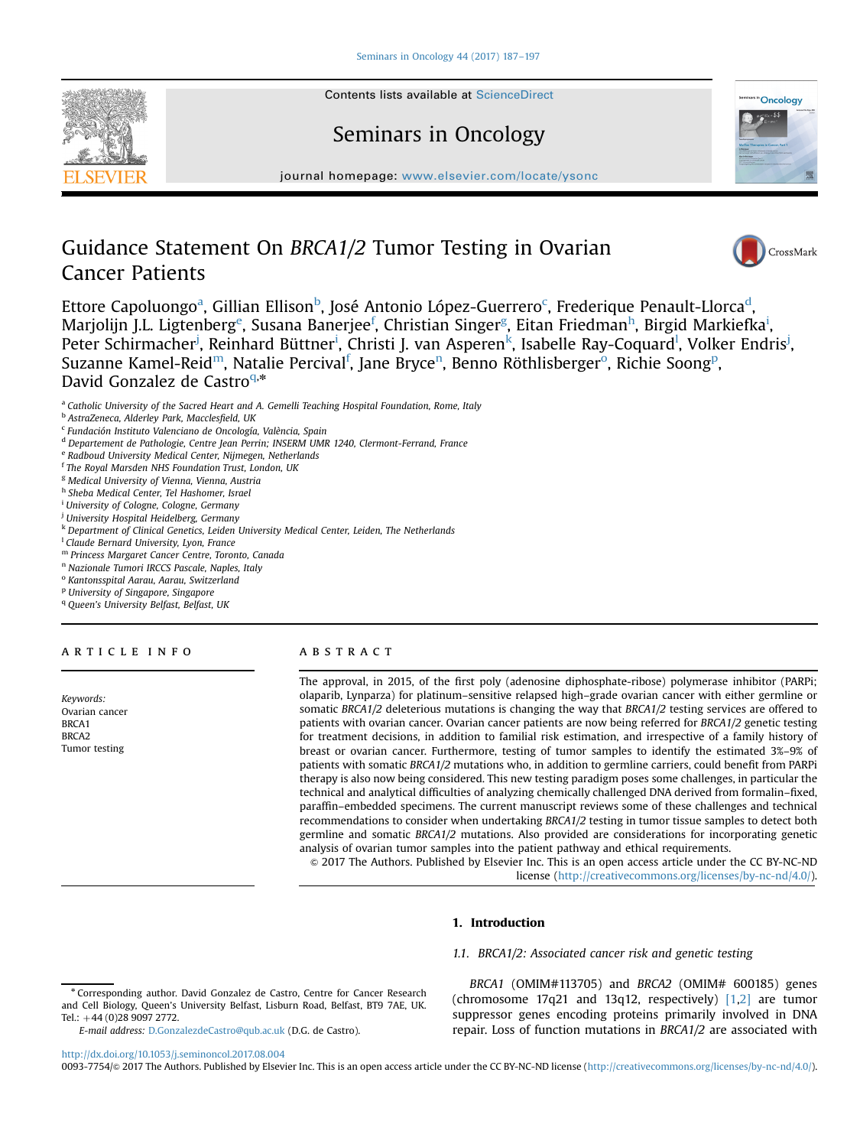

# Seminars in Oncology



journal homepage: <www.elsevier.com/locate/ysonc>

# Guidance Statement On BRCA1/2 Tumor Testing in Ovarian Cancer Patients



Ettore Capoluongo<sup>a</sup>, Gillian Ellison<sup>b</sup>, José Antonio López-Guerrero<sup>c</sup>, Frederique Penault-Llorca<sup>d</sup>, Marjolijn J.L. Ligtenberg<sup>e</sup>, Susana Banerjee<sup>f</sup>, Christian Singer<sup>g</sup>, Eitan Friedman<sup>h</sup>, Birgid Markiefka<sup>i</sup>, Peter Schirmacher<sup>j</sup>, Reinhard Büttner<sup>i</sup>, Christi J. van Asperen<sup>k</sup>, Isabelle Ray-Coquard<sup>l</sup>, Volker Endris<sup>j</sup>, Suzanne Kamel-Reid<sup>m</sup>, Natalie Percival<sup>f</sup>, Jane Bryce<sup>n</sup>, Benno Röthlisberger<sup>o</sup>, Richie Soong<sup>p</sup>, David Gonzalez de Castroq,\*

- <sup>a</sup> Catholic University of the Sacred Heart and A. Gemelli Teaching Hospital Foundation, Rome, Italy
- <sup>b</sup> AstraZeneca, Alderley Park, Macclesfield, UK
- <sup>c</sup> Fundación Instituto Valenciano de Oncología, València, Spain
- <sup>d</sup> Departement de Pathologie, Centre Jean Perrin; INSERM UMR 1240, Clermont-Ferrand, France
- <sup>e</sup> Radboud University Medical Center, Nijmegen, Netherlands
- <sup>f</sup> The Royal Marsden NHS Foundation Trust, London, UK
- <sup>g</sup> Medical University of Vienna, Vienna, Austria
- <sup>h</sup> Sheba Medical Center, Tel Hashomer, Israel
- <sup>i</sup> University of Cologne, Cologne, Germany
- <sup>j</sup> University Hospital Heidelberg, Germany
- <sup>k</sup> Department of Clinical Genetics, Leiden University Medical Center, Leiden, The Netherlands
- <sup>1</sup> Claude Bernard University, Lyon, France
- <sup>m</sup> Princess Margaret Cancer Centre, Toronto, Canada
- <sup>n</sup> Nazionale Tumori IRCCS Pascale, Naples, Italy
- <sup>o</sup> Kantonsspital Aarau, Aarau, Switzerland
- <sup>p</sup> University of Singapore, Singapore
- <sup>q</sup> Queen's University Belfast, Belfast, UK
- 

## article info

Keywords: Ovarian cancer BRCA1 BRCA2 Tumor testing

#### **ABSTRACT**

The approval, in 2015, of the first poly (adenosine diphosphate-ribose) polymerase inhibitor (PARPi; olaparib, Lynparza) for platinum–sensitive relapsed high–grade ovarian cancer with either germline or somatic BRCA1/2 deleterious mutations is changing the way that BRCA1/2 testing services are offered to patients with ovarian cancer. Ovarian cancer patients are now being referred for BRCA1/2 genetic testing for treatment decisions, in addition to familial risk estimation, and irrespective of a family history of breast or ovarian cancer. Furthermore, testing of tumor samples to identify the estimated 3%–9% of patients with somatic BRCA1/2 mutations who, in addition to germline carriers, could benefit from PARPi therapy is also now being considered. This new testing paradigm poses some challenges, in particular the technical and analytical difficulties of analyzing chemically challenged DNA derived from formalin–fixed, paraffin–embedded specimens. The current manuscript reviews some of these challenges and technical recommendations to consider when undertaking BRCA1/2 testing in tumor tissue samples to detect both germline and somatic BRCA1/2 mutations. Also provided are considerations for incorporating genetic analysis of ovarian tumor samples into the patient pathway and ethical requirements.

& 2017 The Authors. Published by Elsevier Inc. This is an open access article under the CC BY-NC-ND license (http://creativecommons.org/licenses/by-nc-nd/4.0/).

## 1. Introduction

## 1.1. BRCA1/2: Associated cancer risk and genetic testing

BRCA1 (OMIM#113705) and BRCA2 (OMIM# 600185) genes (chromosome 17q21 and 13q12, respectively) [\[1,2\]](#page-9-0) are tumor suppressor genes encoding proteins primarily involved in DNA repair. Loss of function mutations in BRCA1/2 are associated with

<http://dx.doi.org/10.1053/j.seminoncol.2017.08.004>

0093-7754/© 2017 The Authors. Published by Elsevier Inc. This is an open access article under the CC BY-NC-ND license (http://creativecommons.org/licenses/by-nc-nd/4.0/).

<sup>\*</sup> Corresponding author. David Gonzalez de Castro, Centre for Cancer Research and Cell Biology, Queen's University Belfast, Lisburn Road, Belfast, BT9 7AE, UK. Tel.:  $+44 (0)28 9097 2772$ .

E-mail address: [D.GonzalezdeCastro@qub.ac.uk](mailto:D.GonzalezdeCastro@qub.ac.uk) (D.G. de Castro).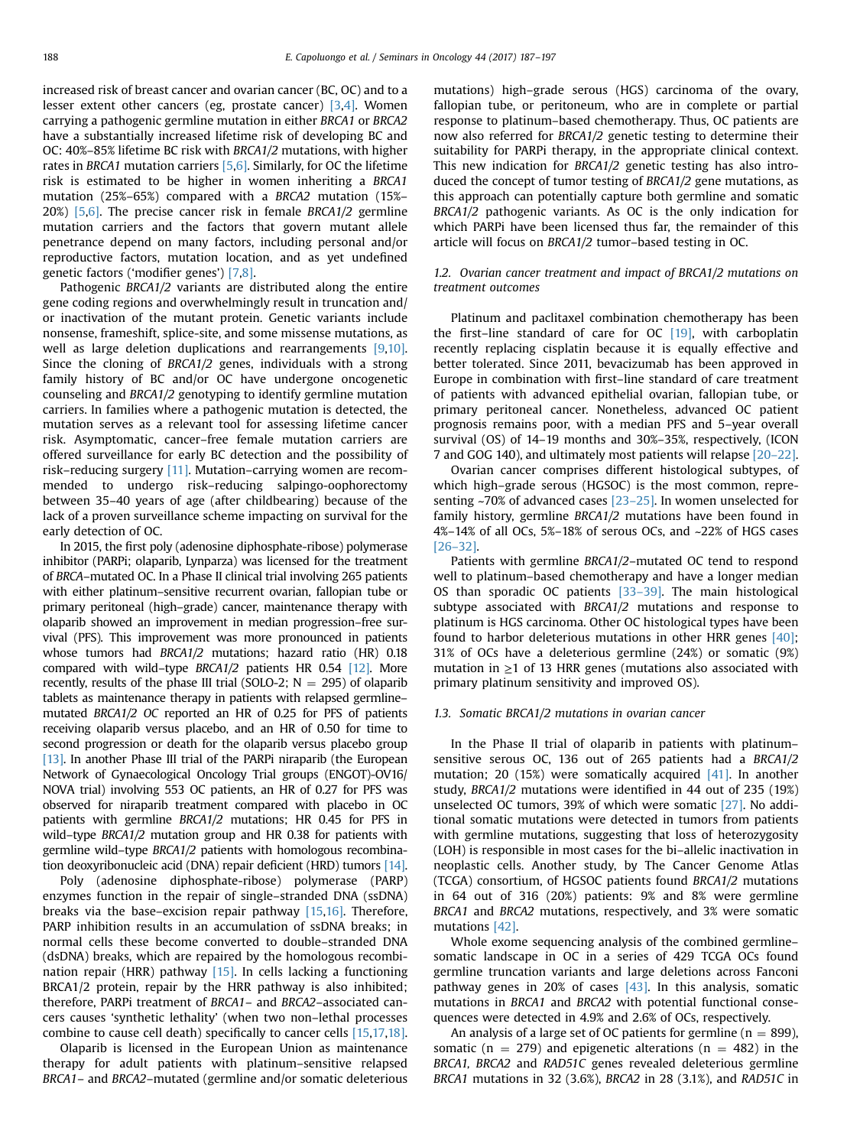increased risk of breast cancer and ovarian cancer (BC, OC) and to a lesser extent other cancers (eg, prostate cancer) [\[3](#page-9-0)[,4\]](#page-10-0). Women carrying a pathogenic germline mutation in either BRCA1 or BRCA2 have a substantially increased lifetime risk of developing BC and OC: 40%–85% lifetime BC risk with BRCA1/2 mutations, with higher rates in BRCA1 mutation carriers  $[5,6]$ . Similarly, for OC the lifetime risk is estimated to be higher in women inheriting a BRCA1 mutation (25%–65%) compared with a BRCA2 mutation (15%– 20%)  $[5,6]$  $[5,6]$ . The precise cancer risk in female BRCA1/2 germline mutation carriers and the factors that govern mutant allele penetrance depend on many factors, including personal and/or reproductive factors, mutation location, and as yet undefined genetic factors ('modifier genes') [\[7,8\].](#page-10-0)

Pathogenic BRCA1/2 variants are distributed along the entire gene coding regions and overwhelmingly result in truncation and/ or inactivation of the mutant protein. Genetic variants include nonsense, frameshift, splice-site, and some missense mutations, as well as large deletion duplications and rearrangements [\[9,10\].](#page-10-0) Since the cloning of BRCA1/2 genes, individuals with a strong family history of BC and/or OC have undergone oncogenetic counseling and BRCA1/2 genotyping to identify germline mutation carriers. In families where a pathogenic mutation is detected, the mutation serves as a relevant tool for assessing lifetime cancer risk. Asymptomatic, cancer–free female mutation carriers are offered surveillance for early BC detection and the possibility of risk–reducing surgery [\[11\]](#page-10-0). Mutation–carrying women are recommended to undergo risk–reducing salpingo-oophorectomy between 35–40 years of age (after childbearing) because of the lack of a proven surveillance scheme impacting on survival for the early detection of OC.

In 2015, the first poly (adenosine diphosphate-ribose) polymerase inhibitor (PARPi; olaparib, Lynparza) was licensed for the treatment of BRCA–mutated OC. In a Phase II clinical trial involving 265 patients with either platinum–sensitive recurrent ovarian, fallopian tube or primary peritoneal (high–grade) cancer, maintenance therapy with olaparib showed an improvement in median progression–free survival (PFS). This improvement was more pronounced in patients whose tumors had BRCA1/2 mutations; hazard ratio (HR) 0.18 compared with wild–type BRCA1/2 patients HR 0.54 [\[12\]](#page-10-0). More recently, results of the phase III trial (SOLO-2;  $N = 295$ ) of olaparib tablets as maintenance therapy in patients with relapsed germline– mutated BRCA1/2 OC reported an HR of 0.25 for PFS of patients receiving olaparib versus placebo, and an HR of 0.50 for time to second progression or death for the olaparib versus placebo group [\[13\].](#page-10-0) In another Phase III trial of the PARPi niraparib (the European Network of Gynaecological Oncology Trial groups (ENGOT)-OV16/ NOVA trial) involving 553 OC patients, an HR of 0.27 for PFS was observed for niraparib treatment compared with placebo in OC patients with germline BRCA1/2 mutations; HR 0.45 for PFS in wild–type BRCA1/2 mutation group and HR 0.38 for patients with germline wild–type BRCA1/2 patients with homologous recombination deoxyribonucleic acid (DNA) repair deficient (HRD) tumors [\[14\].](#page-10-0)

Poly (adenosine diphosphate-ribose) polymerase (PARP) enzymes function in the repair of single–stranded DNA (ssDNA) breaks via the base–excision repair pathway [\[15,16\].](#page-10-0) Therefore, PARP inhibition results in an accumulation of ssDNA breaks; in normal cells these become converted to double–stranded DNA (dsDNA) breaks, which are repaired by the homologous recombination repair (HRR) pathway [\[15\].](#page-10-0) In cells lacking a functioning BRCA1/2 protein, repair by the HRR pathway is also inhibited; therefore, PARPi treatment of BRCA1– and BRCA2–associated cancers causes 'synthetic lethality' (when two non–lethal processes combine to cause cell death) specifically to cancer cells [\[15,17,18\].](#page-10-0)

Olaparib is licensed in the European Union as maintenance therapy for adult patients with platinum–sensitive relapsed BRCA1– and BRCA2–mutated (germline and/or somatic deleterious

mutations) high–grade serous (HGS) carcinoma of the ovary, fallopian tube, or peritoneum, who are in complete or partial response to platinum–based chemotherapy. Thus, OC patients are now also referred for BRCA1/2 genetic testing to determine their suitability for PARPi therapy, in the appropriate clinical context. This new indication for BRCA1/2 genetic testing has also introduced the concept of tumor testing of BRCA1/2 gene mutations, as this approach can potentially capture both germline and somatic BRCA1/2 pathogenic variants. As OC is the only indication for which PARPi have been licensed thus far, the remainder of this article will focus on BRCA1/2 tumor–based testing in OC.

## 1.2. Ovarian cancer treatment and impact of BRCA1/2 mutations on treatment outcomes

Platinum and paclitaxel combination chemotherapy has been the first–line standard of care for OC [\[19\],](#page-10-0) with carboplatin recently replacing cisplatin because it is equally effective and better tolerated. Since 2011, bevacizumab has been approved in Europe in combination with first–line standard of care treatment of patients with advanced epithelial ovarian, fallopian tube, or primary peritoneal cancer. Nonetheless, advanced OC patient prognosis remains poor, with a median PFS and 5–year overall survival (OS) of 14–19 months and 30%–35%, respectively, (ICON 7 and GOG 140), and ultimately most patients will relapse [\[20](#page-10-0)–[22\].](#page-10-0)

Ovarian cancer comprises different histological subtypes, of which high–grade serous (HGSOC) is the most common, representing ~70% of advanced cases [\[23](#page-10-0)–[25\].](#page-10-0) In women unselected for family history, germline BRCA1/2 mutations have been found in 4%–14% of all OCs, 5%–18% of serous OCs, and ~22% of HGS cases [\[26](#page-10-0)–[32\]](#page-10-0).

Patients with germline BRCA1/2–mutated OC tend to respond well to platinum–based chemotherapy and have a longer median OS than sporadic OC patients [\[33](#page-10-0)–[39\].](#page-10-0) The main histological subtype associated with BRCA1/2 mutations and response to platinum is HGS carcinoma. Other OC histological types have been found to harbor deleterious mutations in other HRR genes [\[40\];](#page-10-0) 31% of OCs have a deleterious germline (24%) or somatic (9%) mutation in  $\geq$ 1 of 13 HRR genes (mutations also associated with primary platinum sensitivity and improved OS).

### 1.3. Somatic BRCA1/2 mutations in ovarian cancer

In the Phase II trial of olaparib in patients with platinum– sensitive serous OC, 136 out of 265 patients had a BRCA1/2 mutation; 20 (15%) were somatically acquired [\[41\]](#page-10-0). In another study, BRCA1/2 mutations were identified in 44 out of 235 (19%) unselected OC tumors, 39% of which were somatic [\[27\]](#page-10-0). No additional somatic mutations were detected in tumors from patients with germline mutations, suggesting that loss of heterozygosity (LOH) is responsible in most cases for the bi–allelic inactivation in neoplastic cells. Another study, by The Cancer Genome Atlas (TCGA) consortium, of HGSOC patients found BRCA1/2 mutations in 64 out of 316 (20%) patients: 9% and 8% were germline BRCA1 and BRCA2 mutations, respectively, and 3% were somatic mutations [\[42\]](#page-10-0).

Whole exome sequencing analysis of the combined germline– somatic landscape in OC in a series of 429 TCGA OCs found germline truncation variants and large deletions across Fanconi pathway genes in 20% of cases [\[43\]](#page-10-0). In this analysis, somatic mutations in BRCA1 and BRCA2 with potential functional consequences were detected in 4.9% and 2.6% of OCs, respectively.

An analysis of a large set of OC patients for germline ( $n = 899$ ), somatic ( $n = 279$ ) and epigenetic alterations ( $n = 482$ ) in the BRCA1, BRCA2 and RAD51C genes revealed deleterious germline BRCA1 mutations in 32 (3.6%), BRCA2 in 28 (3.1%), and RAD51C in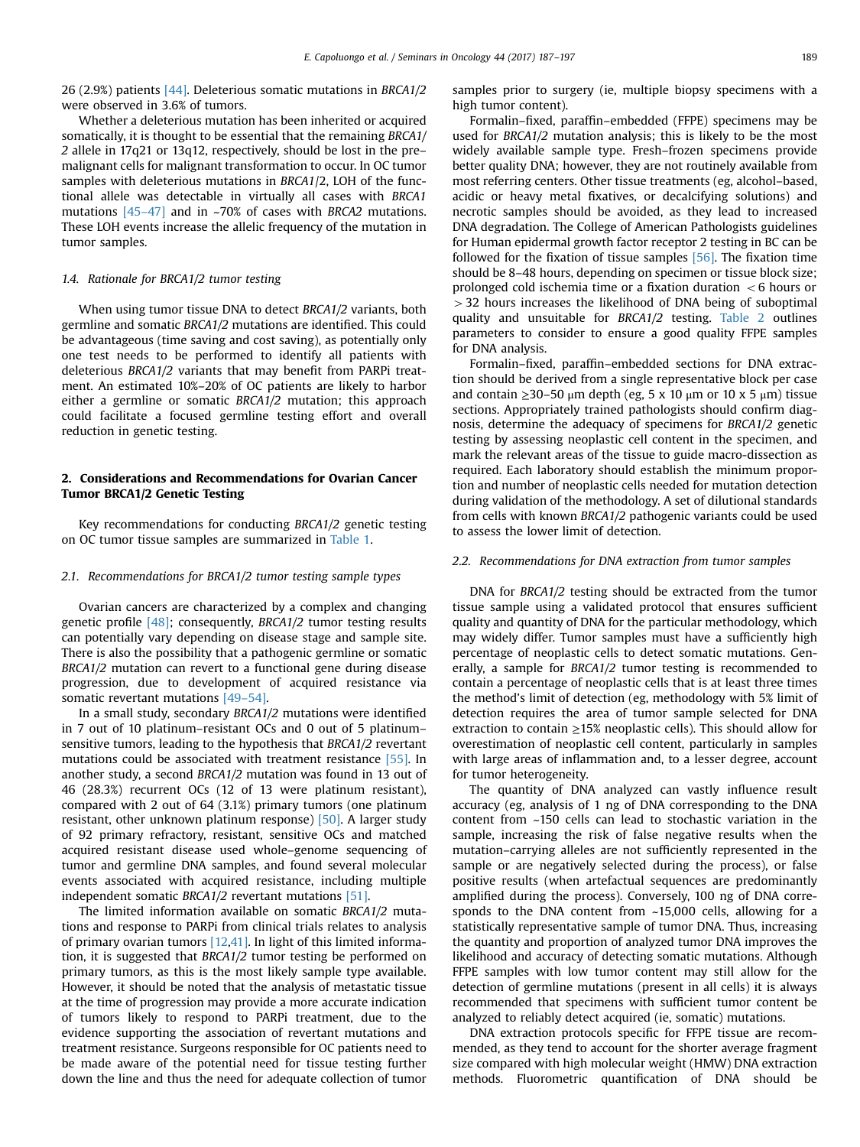26 (2.9%) patients [\[44\]](#page-10-0). Deleterious somatic mutations in BRCA1/2 were observed in 3.6% of tumors.

Whether a deleterious mutation has been inherited or acquired somatically, it is thought to be essential that the remaining BRCA1/ 2 allele in 17q21 or 13q12, respectively, should be lost in the pre– malignant cells for malignant transformation to occur. In OC tumor samples with deleterious mutations in BRCA1/2, LOH of the functional allele was detectable in virtually all cases with BRCA1 mutations [\[45](#page-10-0)–[47\]](#page-10-0) and in ~70% of cases with BRCA2 mutations. These LOH events increase the allelic frequency of the mutation in tumor samples.

## 1.4. Rationale for BRCA1/2 tumor testing

When using tumor tissue DNA to detect BRCA1/2 variants, both germline and somatic BRCA1/2 mutations are identified. This could be advantageous (time saving and cost saving), as potentially only one test needs to be performed to identify all patients with deleterious BRCA1/2 variants that may benefit from PARPi treatment. An estimated 10%–20% of OC patients are likely to harbor either a germline or somatic BRCA1/2 mutation; this approach could facilitate a focused germline testing effort and overall reduction in genetic testing.

# 2. Considerations and Recommendations for Ovarian Cancer Tumor BRCA1/2 Genetic Testing

Key recommendations for conducting BRCA1/2 genetic testing on OC tumor tissue samples are summarized in [Table 1.](#page-4-0)

## 2.1. Recommendations for BRCA1/2 tumor testing sample types

Ovarian cancers are characterized by a complex and changing genetic profile [\[48\];](#page-10-0) consequently, BRCA1/2 tumor testing results can potentially vary depending on disease stage and sample site. There is also the possibility that a pathogenic germline or somatic BRCA1/2 mutation can revert to a functional gene during disease progression, due to development of acquired resistance via somatic revertant mutations [\[49](#page-10-0)–[54\].](#page-10-0)

In a small study, secondary BRCA1/2 mutations were identified in 7 out of 10 platinum–resistant OCs and 0 out of 5 platinum– sensitive tumors, leading to the hypothesis that BRCA1/2 revertant mutations could be associated with treatment resistance [\[55\].](#page-10-0) In another study, a second BRCA1/2 mutation was found in 13 out of 46 (28.3%) recurrent OCs (12 of 13 were platinum resistant), compared with 2 out of 64 (3.1%) primary tumors (one platinum resistant, other unknown platinum response) [\[50\]](#page-10-0). A larger study of 92 primary refractory, resistant, sensitive OCs and matched acquired resistant disease used whole–genome sequencing of tumor and germline DNA samples, and found several molecular events associated with acquired resistance, including multiple independent somatic BRCA1/2 revertant mutations [\[51\].](#page-10-0)

The limited information available on somatic BRCA1/2 mutations and response to PARPi from clinical trials relates to analysis of primary ovarian tumors  $[12,41]$ . In light of this limited information, it is suggested that BRCA1/2 tumor testing be performed on primary tumors, as this is the most likely sample type available. However, it should be noted that the analysis of metastatic tissue at the time of progression may provide a more accurate indication of tumors likely to respond to PARPi treatment, due to the evidence supporting the association of revertant mutations and treatment resistance. Surgeons responsible for OC patients need to be made aware of the potential need for tissue testing further down the line and thus the need for adequate collection of tumor samples prior to surgery (ie, multiple biopsy specimens with a high tumor content).

Formalin–fixed, paraffin–embedded (FFPE) specimens may be used for BRCA1/2 mutation analysis; this is likely to be the most widely available sample type. Fresh–frozen specimens provide better quality DNA; however, they are not routinely available from most referring centers. Other tissue treatments (eg, alcohol–based, acidic or heavy metal fixatives, or decalcifying solutions) and necrotic samples should be avoided, as they lead to increased DNA degradation. The College of American Pathologists guidelines for Human epidermal growth factor receptor 2 testing in BC can be followed for the fixation of tissue samples [\[56\].](#page-10-0) The fixation time should be 8–48 hours, depending on specimen or tissue block size; prolonged cold ischemia time or a fixation duration  $\lt$  6 hours or  $>$  32 hours increases the likelihood of DNA being of suboptimal quality and unsuitable for BRCA1/2 testing. [Table 2](#page-4-0) outlines parameters to consider to ensure a good quality FFPE samples for DNA analysis.

Formalin–fixed, paraffin–embedded sections for DNA extraction should be derived from a single representative block per case and contain  $\geq$ 30–50 μm depth (eg, 5 x 10 μm or 10 x 5 μm) tissue sections. Appropriately trained pathologists should confirm diagnosis, determine the adequacy of specimens for BRCA1/2 genetic testing by assessing neoplastic cell content in the specimen, and mark the relevant areas of the tissue to guide macro-dissection as required. Each laboratory should establish the minimum proportion and number of neoplastic cells needed for mutation detection during validation of the methodology. A set of dilutional standards from cells with known BRCA1/2 pathogenic variants could be used to assess the lower limit of detection.

## 2.2. Recommendations for DNA extraction from tumor samples

DNA for BRCA1/2 testing should be extracted from the tumor tissue sample using a validated protocol that ensures sufficient quality and quantity of DNA for the particular methodology, which may widely differ. Tumor samples must have a sufficiently high percentage of neoplastic cells to detect somatic mutations. Generally, a sample for BRCA1/2 tumor testing is recommended to contain a percentage of neoplastic cells that is at least three times the method's limit of detection (eg, methodology with 5% limit of detection requires the area of tumor sample selected for DNA extraction to contain  $\geq$ 15% neoplastic cells). This should allow for overestimation of neoplastic cell content, particularly in samples with large areas of inflammation and, to a lesser degree, account for tumor heterogeneity.

The quantity of DNA analyzed can vastly influence result accuracy (eg, analysis of 1 ng of DNA corresponding to the DNA content from ~150 cells can lead to stochastic variation in the sample, increasing the risk of false negative results when the mutation–carrying alleles are not sufficiently represented in the sample or are negatively selected during the process), or false positive results (when artefactual sequences are predominantly amplified during the process). Conversely, 100 ng of DNA corresponds to the DNA content from ~15,000 cells, allowing for a statistically representative sample of tumor DNA. Thus, increasing the quantity and proportion of analyzed tumor DNA improves the likelihood and accuracy of detecting somatic mutations. Although FFPE samples with low tumor content may still allow for the detection of germline mutations (present in all cells) it is always recommended that specimens with sufficient tumor content be analyzed to reliably detect acquired (ie, somatic) mutations.

DNA extraction protocols specific for FFPE tissue are recommended, as they tend to account for the shorter average fragment size compared with high molecular weight (HMW) DNA extraction methods. Fluorometric quantification of DNA should be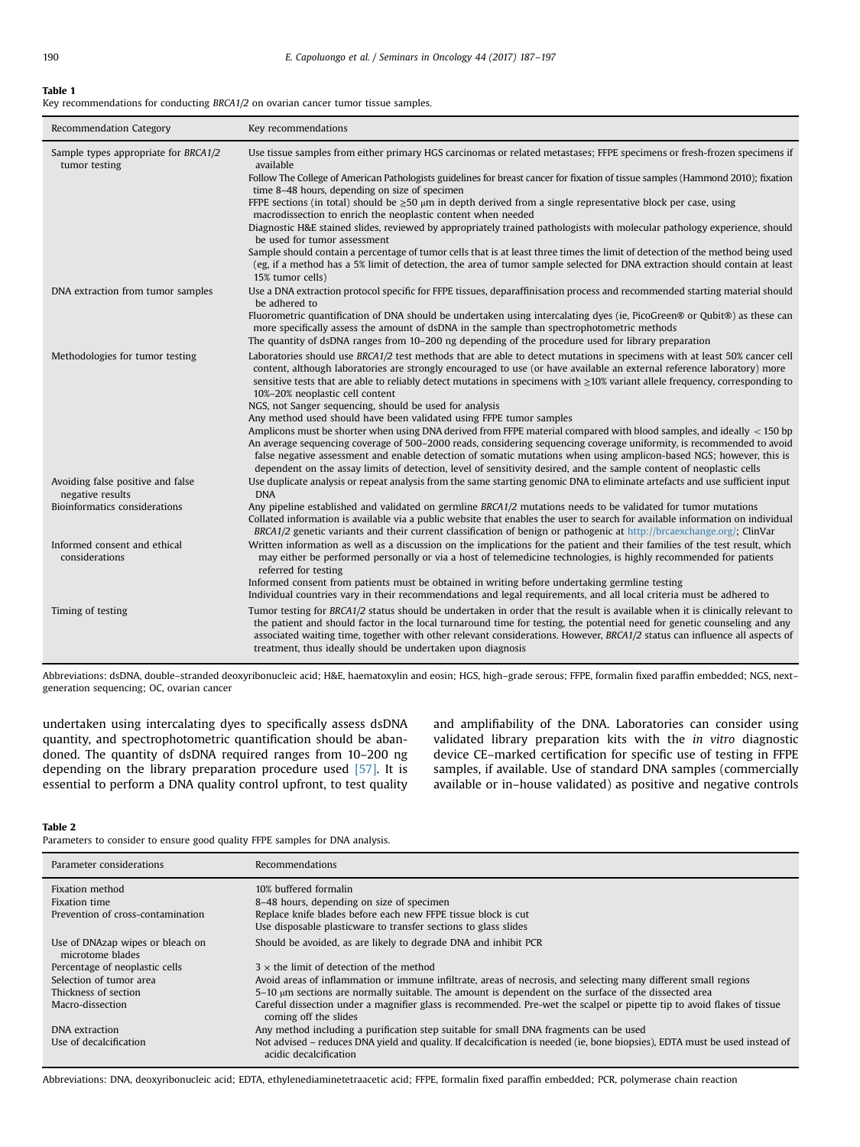#### <span id="page-4-0"></span>Table 1

Key recommendations for conducting BRCA1/2 on ovarian cancer tumor tissue samples.

| Recommendation Category                               | Key recommendations                                                                                                                                                                                                                                                                                                                                                                                                                                     |
|-------------------------------------------------------|---------------------------------------------------------------------------------------------------------------------------------------------------------------------------------------------------------------------------------------------------------------------------------------------------------------------------------------------------------------------------------------------------------------------------------------------------------|
| Sample types appropriate for BRCA1/2<br>tumor testing | Use tissue samples from either primary HGS carcinomas or related metastases; FFPE specimens or fresh-frozen specimens if<br>available<br>Follow The College of American Pathologists guidelines for breast cancer for fixation of tissue samples (Hammond 2010); fixation                                                                                                                                                                               |
|                                                       | time 8–48 hours, depending on size of specimen                                                                                                                                                                                                                                                                                                                                                                                                          |
|                                                       | FFPE sections (in total) should be $\geq 50 \mu m$ in depth derived from a single representative block per case, using<br>macrodissection to enrich the neoplastic content when needed                                                                                                                                                                                                                                                                  |
|                                                       | Diagnostic H&E stained slides, reviewed by appropriately trained pathologists with molecular pathology experience, should<br>be used for tumor assessment                                                                                                                                                                                                                                                                                               |
|                                                       | Sample should contain a percentage of tumor cells that is at least three times the limit of detection of the method being used<br>(eg, if a method has a 5% limit of detection, the area of tumor sample selected for DNA extraction should contain at least<br>15% tumor cells)                                                                                                                                                                        |
| DNA extraction from tumor samples                     | Use a DNA extraction protocol specific for FFPE tissues, deparaffinisation process and recommended starting material should<br>be adhered to                                                                                                                                                                                                                                                                                                            |
|                                                       | Fluorometric quantification of DNA should be undertaken using intercalating dyes (ie, PicoGreen® or Qubit®) as these can<br>more specifically assess the amount of dsDNA in the sample than spectrophotometric methods                                                                                                                                                                                                                                  |
|                                                       | The quantity of dsDNA ranges from 10–200 ng depending of the procedure used for library preparation                                                                                                                                                                                                                                                                                                                                                     |
| Methodologies for tumor testing                       | Laboratories should use BRCA1/2 test methods that are able to detect mutations in specimens with at least 50% cancer cell<br>content, although laboratories are strongly encouraged to use (or have available an external reference laboratory) more<br>sensitive tests that are able to reliably detect mutations in specimens with $\geq$ 10% variant allele frequency, corresponding to<br>10%-20% neoplastic cell content                           |
|                                                       | NGS, not Sanger sequencing, should be used for analysis<br>Any method used should have been validated using FFPE tumor samples                                                                                                                                                                                                                                                                                                                          |
|                                                       | Amplicons must be shorter when using DNA derived from FFPE material compared with blood samples, and ideally < 150 bp                                                                                                                                                                                                                                                                                                                                   |
|                                                       | An average sequencing coverage of 500–2000 reads, considering sequencing coverage uniformity, is recommended to avoid<br>false negative assessment and enable detection of somatic mutations when using amplicon-based NGS; however, this is<br>dependent on the assay limits of detection, level of sensitivity desired, and the sample content of neoplastic cells                                                                                    |
| Avoiding false positive and false<br>negative results | Use duplicate analysis or repeat analysis from the same starting genomic DNA to eliminate artefacts and use sufficient input<br><b>DNA</b>                                                                                                                                                                                                                                                                                                              |
| Bioinformatics considerations                         | Any pipeline established and validated on germline BRCA1/2 mutations needs to be validated for tumor mutations<br>Collated information is available via a public website that enables the user to search for available information on individual<br>BRCA1/2 genetic variants and their current classification of benign or pathogenic at http://brcaexchange.org/; ClinVar                                                                              |
| Informed consent and ethical<br>considerations        | Written information as well as a discussion on the implications for the patient and their families of the test result, which<br>may either be performed personally or via a host of telemedicine technologies, is highly recommended for patients<br>referred for testing                                                                                                                                                                               |
|                                                       | Informed consent from patients must be obtained in writing before undertaking germline testing<br>Individual countries vary in their recommendations and legal requirements, and all local criteria must be adhered to                                                                                                                                                                                                                                  |
| Timing of testing                                     | Tumor testing for BRCA1/2 status should be undertaken in order that the result is available when it is clinically relevant to<br>the patient and should factor in the local turnaround time for testing, the potential need for genetic counseling and any<br>associated waiting time, together with other relevant considerations. However, BRCA1/2 status can influence all aspects of<br>treatment, thus ideally should be undertaken upon diagnosis |

Abbreviations: dsDNA, double–stranded deoxyribonucleic acid; H&E, haematoxylin and eosin; HGS, high–grade serous; FFPE, formalin fixed paraffin embedded; NGS, next– generation sequencing; OC, ovarian cancer

undertaken using intercalating dyes to specifically assess dsDNA quantity, and spectrophotometric quantification should be abandoned. The quantity of dsDNA required ranges from 10–200 ng depending on the library preparation procedure used  $[57]$ . It is essential to perform a DNA quality control upfront, to test quality and amplifiability of the DNA. Laboratories can consider using validated library preparation kits with the in vitro diagnostic device CE–marked certification for specific use of testing in FFPE samples, if available. Use of standard DNA samples (commercially available or in–house validated) as positive and negative controls

#### Table 2

Parameters to consider to ensure good quality FFPE samples for DNA analysis.

| Parameter considerations                             | Recommendations                                                                                                                                       |
|------------------------------------------------------|-------------------------------------------------------------------------------------------------------------------------------------------------------|
| Fixation method                                      | 10% buffered formalin                                                                                                                                 |
| <b>Fixation time</b>                                 | 8–48 hours, depending on size of specimen                                                                                                             |
| Prevention of cross-contamination                    | Replace knife blades before each new FFPE tissue block is cut                                                                                         |
|                                                      | Use disposable plasticware to transfer sections to glass slides                                                                                       |
| Use of DNAzap wipes or bleach on<br>microtome blades | Should be avoided, as are likely to degrade DNA and inhibit PCR                                                                                       |
| Percentage of neoplastic cells                       | $3 \times$ the limit of detection of the method                                                                                                       |
| Selection of tumor area                              | Avoid areas of inflammation or immune infiltrate, areas of necrosis, and selecting many different small regions                                       |
| Thickness of section                                 | $5-10$ $\mu$ m sections are normally suitable. The amount is dependent on the surface of the dissected area                                           |
| Macro-dissection                                     | Careful dissection under a magnifier glass is recommended. Pre-wet the scalpel or pipette tip to avoid flakes of tissue<br>coming off the slides      |
| DNA extraction                                       | Any method including a purification step suitable for small DNA fragments can be used                                                                 |
| Use of decalcification                               | Not advised – reduces DNA yield and quality. If decalcification is needed (ie, bone biopsies), EDTA must be used instead of<br>acidic decalcification |

Abbreviations: DNA, deoxyribonucleic acid; EDTA, ethylenediaminetetraacetic acid; FFPE, formalin fixed paraffin embedded; PCR, polymerase chain reaction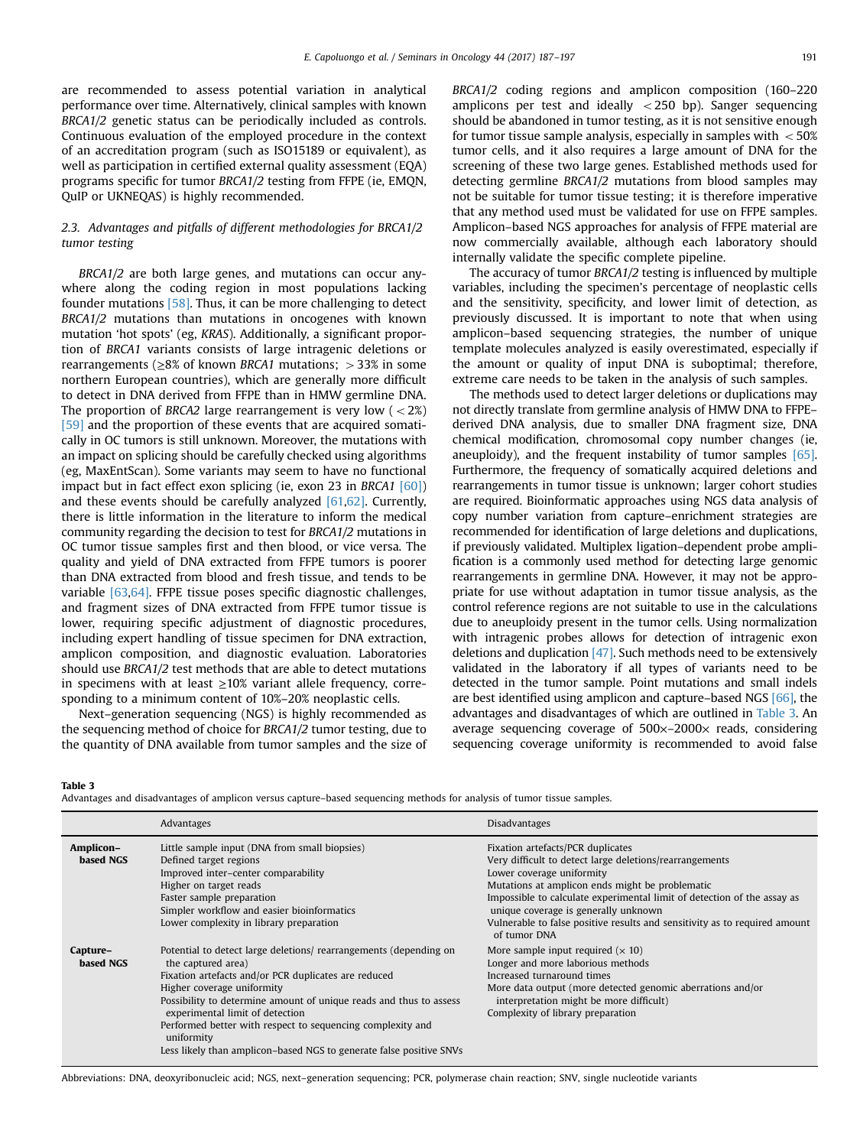are recommended to assess potential variation in analytical performance over time. Alternatively, clinical samples with known BRCA1/2 genetic status can be periodically included as controls. Continuous evaluation of the employed procedure in the context of an accreditation program (such as ISO15189 or equivalent), as well as participation in certified external quality assessment (EQA) programs specific for tumor BRCA1/2 testing from FFPE (ie, EMQN, QuIP or UKNEQAS) is highly recommended.

## 2.3. Advantages and pitfalls of different methodologies for BRCA1/2 tumor testing

BRCA1/2 are both large genes, and mutations can occur anywhere along the coding region in most populations lacking founder mutations [\[58\]](#page-10-0). Thus, it can be more challenging to detect BRCA1/2 mutations than mutations in oncogenes with known mutation 'hot spots' (eg, KRAS). Additionally, a significant proportion of BRCA1 variants consists of large intragenic deletions or rearrangements ( $\geq 8\%$  of known BRCA1 mutations;  $> 33\%$  in some northern European countries), which are generally more difficult to detect in DNA derived from FFPE than in HMW germline DNA. The proportion of BRCA2 large rearrangement is very low  $\left($  < 2%) [\[59\]](#page-10-0) and the proportion of these events that are acquired somatically in OC tumors is still unknown. Moreover, the mutations with an impact on splicing should be carefully checked using algorithms (eg, MaxEntScan). Some variants may seem to have no functional impact but in fact effect exon splicing (ie, exon 23 in BRCA1 [\[60\]\)](#page-11-0) and these events should be carefully analyzed  $[61,62]$ . Currently, there is little information in the literature to inform the medical community regarding the decision to test for BRCA1/2 mutations in OC tumor tissue samples first and then blood, or vice versa. The quality and yield of DNA extracted from FFPE tumors is poorer than DNA extracted from blood and fresh tissue, and tends to be variable [\[63,64\].](#page-11-0) FFPE tissue poses specific diagnostic challenges, and fragment sizes of DNA extracted from FFPE tumor tissue is lower, requiring specific adjustment of diagnostic procedures, including expert handling of tissue specimen for DNA extraction, amplicon composition, and diagnostic evaluation. Laboratories should use BRCA1/2 test methods that are able to detect mutations in specimens with at least  $\geq$ 10% variant allele frequency, corresponding to a minimum content of 10%–20% neoplastic cells.

Next–generation sequencing (NGS) is highly recommended as the sequencing method of choice for BRCA1/2 tumor testing, due to the quantity of DNA available from tumor samples and the size of BRCA1/2 coding regions and amplicon composition (160–220 amplicons per test and ideally  $\langle$  250 bp). Sanger sequencing should be abandoned in tumor testing, as it is not sensitive enough for tumor tissue sample analysis, especially in samples with  $<$  50% tumor cells, and it also requires a large amount of DNA for the screening of these two large genes. Established methods used for detecting germline BRCA1/2 mutations from blood samples may not be suitable for tumor tissue testing; it is therefore imperative that any method used must be validated for use on FFPE samples. Amplicon–based NGS approaches for analysis of FFPE material are now commercially available, although each laboratory should internally validate the specific complete pipeline.

The accuracy of tumor BRCA1/2 testing is influenced by multiple variables, including the specimen's percentage of neoplastic cells and the sensitivity, specificity, and lower limit of detection, as previously discussed. It is important to note that when using amplicon–based sequencing strategies, the number of unique template molecules analyzed is easily overestimated, especially if the amount or quality of input DNA is suboptimal; therefore, extreme care needs to be taken in the analysis of such samples.

The methods used to detect larger deletions or duplications may not directly translate from germline analysis of HMW DNA to FFPE– derived DNA analysis, due to smaller DNA fragment size, DNA chemical modification, chromosomal copy number changes (ie, aneuploidy), and the frequent instability of tumor samples [\[65\].](#page-11-0) Furthermore, the frequency of somatically acquired deletions and rearrangements in tumor tissue is unknown; larger cohort studies are required. Bioinformatic approaches using NGS data analysis of copy number variation from capture–enrichment strategies are recommended for identification of large deletions and duplications, if previously validated. Multiplex ligation–dependent probe amplification is a commonly used method for detecting large genomic rearrangements in germline DNA. However, it may not be appropriate for use without adaptation in tumor tissue analysis, as the control reference regions are not suitable to use in the calculations due to aneuploidy present in the tumor cells. Using normalization with intragenic probes allows for detection of intragenic exon deletions and duplication  $[47]$ . Such methods need to be extensively validated in the laboratory if all types of variants need to be detected in the tumor sample. Point mutations and small indels are best identified using amplicon and capture–based NGS [\[66\]](#page-11-0), the advantages and disadvantages of which are outlined in Table 3. An average sequencing coverage of  $500\times-2000\times$  reads, considering sequencing coverage uniformity is recommended to avoid false

Table 3

Advantages and disadvantages of amplicon versus capture–based sequencing methods for analysis of tumor tissue samples.

|                        | Advantages                                                                                                                                                                                                                                                                                                                                                                                                                                | <b>Disadvantages</b>                                                                                                                                                                                                                                                                                                                                                                          |
|------------------------|-------------------------------------------------------------------------------------------------------------------------------------------------------------------------------------------------------------------------------------------------------------------------------------------------------------------------------------------------------------------------------------------------------------------------------------------|-----------------------------------------------------------------------------------------------------------------------------------------------------------------------------------------------------------------------------------------------------------------------------------------------------------------------------------------------------------------------------------------------|
| Amplicon-<br>based NGS | Little sample input (DNA from small biopsies)<br>Defined target regions<br>Improved inter-center comparability<br>Higher on target reads<br>Faster sample preparation<br>Simpler workflow and easier bioinformatics<br>Lower complexity in library preparation                                                                                                                                                                            | Fixation artefacts/PCR duplicates<br>Very difficult to detect large deletions/rearrangements<br>Lower coverage uniformity<br>Mutations at amplicon ends might be problematic<br>Impossible to calculate experimental limit of detection of the assay as<br>unique coverage is generally unknown<br>Vulnerable to false positive results and sensitivity as to required amount<br>of tumor DNA |
| Capture-<br>based NGS  | Potential to detect large deletions/ rearrangements (depending on<br>the captured area)<br>Fixation artefacts and/or PCR duplicates are reduced<br>Higher coverage uniformity<br>Possibility to determine amount of unique reads and thus to assess<br>experimental limit of detection<br>Performed better with respect to sequencing complexity and<br>uniformity<br>Less likely than amplicon-based NGS to generate false positive SNVs | More sample input required $(x 10)$<br>Longer and more laborious methods<br>Increased turnaround times<br>More data output (more detected genomic aberrations and/or<br>interpretation might be more difficult)<br>Complexity of library preparation                                                                                                                                          |

Abbreviations: DNA, deoxyribonucleic acid; NGS, next–generation sequencing; PCR, polymerase chain reaction; SNV, single nucleotide variants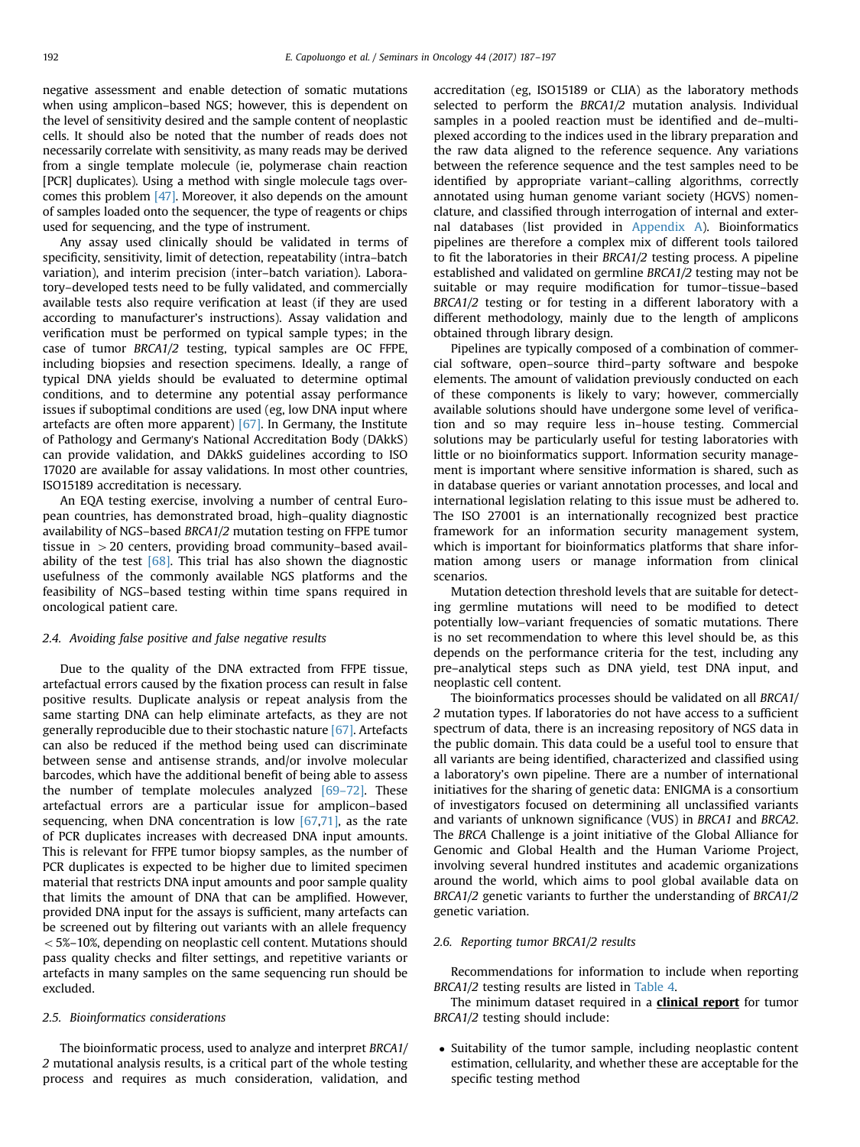negative assessment and enable detection of somatic mutations when using amplicon–based NGS; however, this is dependent on the level of sensitivity desired and the sample content of neoplastic cells. It should also be noted that the number of reads does not necessarily correlate with sensitivity, as many reads may be derived from a single template molecule (ie, polymerase chain reaction [PCR] duplicates). Using a method with single molecule tags overcomes this problem [\[47\]](#page-10-0). Moreover, it also depends on the amount of samples loaded onto the sequencer, the type of reagents or chips used for sequencing, and the type of instrument.

Any assay used clinically should be validated in terms of specificity, sensitivity, limit of detection, repeatability (intra–batch variation), and interim precision (inter–batch variation). Laboratory–developed tests need to be fully validated, and commercially available tests also require verification at least (if they are used according to manufacturer's instructions). Assay validation and verification must be performed on typical sample types; in the case of tumor BRCA1/2 testing, typical samples are OC FFPE, including biopsies and resection specimens. Ideally, a range of typical DNA yields should be evaluated to determine optimal conditions, and to determine any potential assay performance issues if suboptimal conditions are used (eg, low DNA input where artefacts are often more apparent)  $[67]$ . In Germany, the Institute of Pathology and Germany's National Accreditation Body (DAkkS) can provide validation, and DAkkS guidelines according to ISO 17020 are available for assay validations. In most other countries, ISO15189 accreditation is necessary.

An EQA testing exercise, involving a number of central European countries, has demonstrated broad, high–quality diagnostic availability of NGS–based BRCA1/2 mutation testing on FFPE tumor tissue in  $>$  20 centers, providing broad community–based availability of the test  $[68]$ . This trial has also shown the diagnostic usefulness of the commonly available NGS platforms and the feasibility of NGS–based testing within time spans required in oncological patient care.

## 2.4. Avoiding false positive and false negative results

Due to the quality of the DNA extracted from FFPE tissue, artefactual errors caused by the fixation process can result in false positive results. Duplicate analysis or repeat analysis from the same starting DNA can help eliminate artefacts, as they are not generally reproducible due to their stochastic nature [\[67\]](#page-11-0). Artefacts can also be reduced if the method being used can discriminate between sense and antisense strands, and/or involve molecular barcodes, which have the additional benefit of being able to assess the number of template molecules analyzed  $[69-72]$  $[69-72]$ . These artefactual errors are a particular issue for amplicon–based sequencing, when DNA concentration is low  $[67,71]$ , as the rate of PCR duplicates increases with decreased DNA input amounts. This is relevant for FFPE tumor biopsy samples, as the number of PCR duplicates is expected to be higher due to limited specimen material that restricts DNA input amounts and poor sample quality that limits the amount of DNA that can be amplified. However, provided DNA input for the assays is sufficient, many artefacts can be screened out by filtering out variants with an allele frequency  $<$  5%–10%, depending on neoplastic cell content. Mutations should pass quality checks and filter settings, and repetitive variants or artefacts in many samples on the same sequencing run should be excluded.

# 2.5. Bioinformatics considerations

The bioinformatic process, used to analyze and interpret BRCA1/ 2 mutational analysis results, is a critical part of the whole testing process and requires as much consideration, validation, and accreditation (eg, ISO15189 or CLIA) as the laboratory methods selected to perform the BRCA1/2 mutation analysis. Individual samples in a pooled reaction must be identified and de–multiplexed according to the indices used in the library preparation and the raw data aligned to the reference sequence. Any variations between the reference sequence and the test samples need to be identified by appropriate variant–calling algorithms, correctly annotated using human genome variant society (HGVS) nomenclature, and classified through interrogation of internal and external databases (list provided in [Appendix A](#page-9-0)). Bioinformatics pipelines are therefore a complex mix of different tools tailored to fit the laboratories in their BRCA1/2 testing process. A pipeline established and validated on germline BRCA1/2 testing may not be suitable or may require modification for tumor–tissue–based BRCA1/2 testing or for testing in a different laboratory with a different methodology, mainly due to the length of amplicons obtained through library design.

Pipelines are typically composed of a combination of commercial software, open–source third–party software and bespoke elements. The amount of validation previously conducted on each of these components is likely to vary; however, commercially available solutions should have undergone some level of verification and so may require less in–house testing. Commercial solutions may be particularly useful for testing laboratories with little or no bioinformatics support. Information security management is important where sensitive information is shared, such as in database queries or variant annotation processes, and local and international legislation relating to this issue must be adhered to. The ISO 27001 is an internationally recognized best practice framework for an information security management system, which is important for bioinformatics platforms that share information among users or manage information from clinical scenarios.

Mutation detection threshold levels that are suitable for detecting germline mutations will need to be modified to detect potentially low–variant frequencies of somatic mutations. There is no set recommendation to where this level should be, as this depends on the performance criteria for the test, including any pre–analytical steps such as DNA yield, test DNA input, and neoplastic cell content.

The bioinformatics processes should be validated on all BRCA1/ 2 mutation types. If laboratories do not have access to a sufficient spectrum of data, there is an increasing repository of NGS data in the public domain. This data could be a useful tool to ensure that all variants are being identified, characterized and classified using a laboratory's own pipeline. There are a number of international initiatives for the sharing of genetic data: ENIGMA is a consortium of investigators focused on determining all unclassified variants and variants of unknown significance (VUS) in BRCA1 and BRCA2. The BRCA Challenge is a joint initiative of the Global Alliance for Genomic and Global Health and the Human Variome Project, involving several hundred institutes and academic organizations around the world, which aims to pool global available data on BRCA1/2 genetic variants to further the understanding of BRCA1/2 genetic variation.

## 2.6. Reporting tumor BRCA1/2 results

Recommendations for information to include when reporting BRCA1/2 testing results are listed in [Table 4.](#page-7-0)

The minimum dataset required in a **clinical report** for tumor BRCA1/2 testing should include:

• Suitability of the tumor sample, including neoplastic content estimation, cellularity, and whether these are acceptable for the specific testing method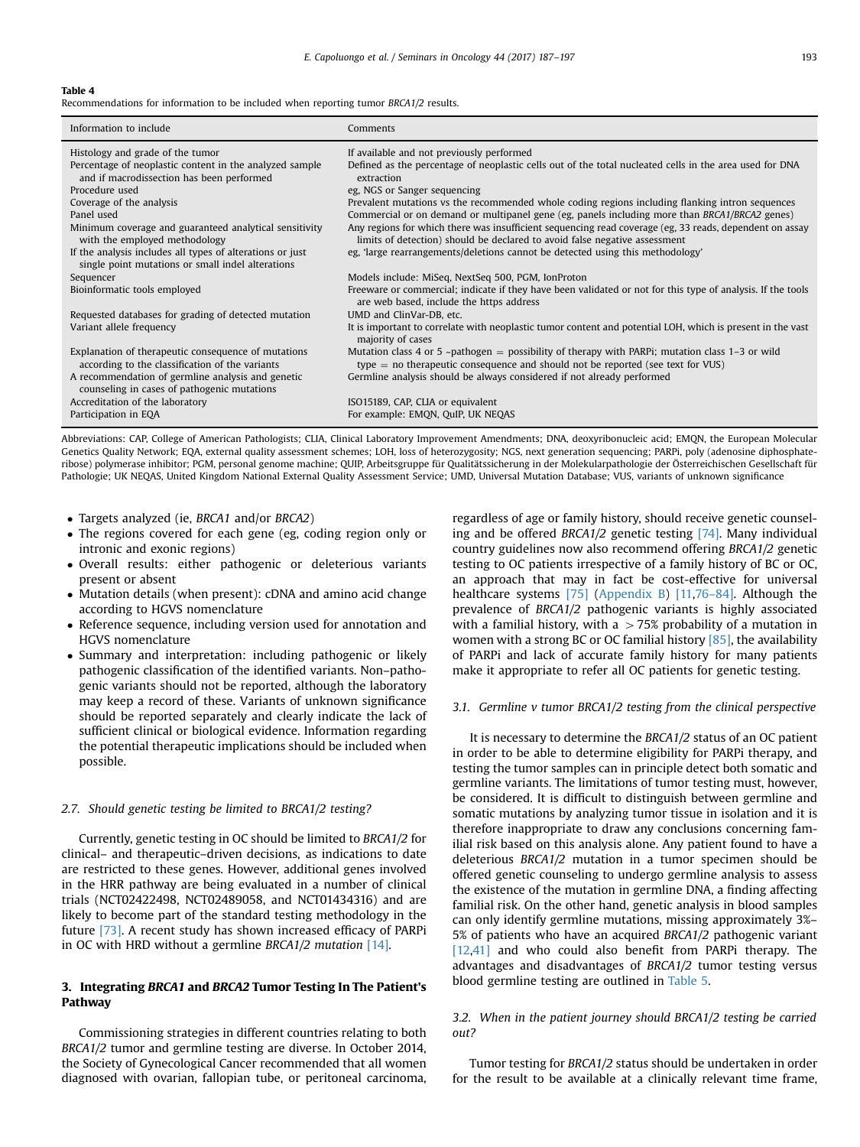### <span id="page-7-0"></span>Table 4

Recommendations for information to be included when reporting tumor BRCA1/2 results.

| Information to include                                                                                         | Comments                                                                                                                                                                              |  |
|----------------------------------------------------------------------------------------------------------------|---------------------------------------------------------------------------------------------------------------------------------------------------------------------------------------|--|
| Histology and grade of the tumor                                                                               | If available and not previously performed                                                                                                                                             |  |
| Percentage of neoplastic content in the analyzed sample<br>and if macrodissection has been performed           | Defined as the percentage of neoplastic cells out of the total nucleated cells in the area used for DNA<br>extraction                                                                 |  |
| Procedure used                                                                                                 | eg, NGS or Sanger sequencing                                                                                                                                                          |  |
| Coverage of the analysis                                                                                       | Prevalent mutations vs the recommended whole coding regions including flanking intron sequences                                                                                       |  |
| Panel used                                                                                                     | Commercial or on demand or multipanel gene (eg, panels including more than BRCA1/BRCA2 genes)                                                                                         |  |
| Minimum coverage and guaranteed analytical sensitivity<br>with the employed methodology                        | Any regions for which there was insufficient sequencing read coverage (eg, 33 reads, dependent on assay<br>limits of detection) should be declared to avoid false negative assessment |  |
| If the analysis includes all types of alterations or just<br>single point mutations or small indel alterations | eg, 'large rearrangements/deletions cannot be detected using this methodology'                                                                                                        |  |
| Sequencer                                                                                                      | Models include: MiSeq, NextSeq 500, PGM, IonProton                                                                                                                                    |  |
| Bioinformatic tools employed                                                                                   | Freeware or commercial; indicate if they have been validated or not for this type of analysis. If the tools<br>are web based, include the https address                               |  |
| Requested databases for grading of detected mutation                                                           | UMD and ClinVar-DB, etc.                                                                                                                                                              |  |
| Variant allele frequency                                                                                       | It is important to correlate with neoplastic tumor content and potential LOH, which is present in the vast<br>majority of cases                                                       |  |
| Explanation of therapeutic consequence of mutations<br>according to the classification of the variants         | Mutation class 4 or 5 ~pathogen = possibility of therapy with PARPi; mutation class 1-3 or wild<br>$type = no$ therapeutic consequence and should not be reported (see text for VUS)  |  |
| A recommendation of germline analysis and genetic<br>counseling in cases of pathogenic mutations               | Germline analysis should be always considered if not already performed                                                                                                                |  |
| Accreditation of the laboratory                                                                                | ISO15189, CAP, CLIA or equivalent                                                                                                                                                     |  |
| Participation in EQA                                                                                           | For example: EMON, OuIP, UK NEOAS                                                                                                                                                     |  |

Abbreviations: CAP, College of American Pathologists; CLIA, Clinical Laboratory Improvement Amendments; DNA, deoxyribonucleic acid; EMQN, the European Molecular Genetics Quality Network; EQA, external quality assessment schemes; LOH, loss of heterozygosity; NGS, next generation sequencing; PARPi, poly (adenosine diphosphateribose) polymerase inhibitor; PGM, personal genome machine; QUIP, Arbeitsgruppe für Qualitätssicherung in der Molekularpathologie der Österreichischen Gesellschaft für Pathologie; UK NEQAS, United Kingdom National External Quality Assessment Service; UMD, Universal Mutation Database; VUS, variants of unknown significance

- Targets analyzed (ie, BRCA1 and/or BRCA2)
- The regions covered for each gene (eg, coding region only or intronic and exonic regions)
- Overall results: either pathogenic or deleterious variants present or absent
- Mutation details (when present): cDNA and amino acid change according to HGVS nomenclature
- Reference sequence, including version used for annotation and HGVS nomenclature
- Summary and interpretation: including pathogenic or likely pathogenic classification of the identified variants. Non–pathogenic variants should not be reported, although the laboratory may keep a record of these. Variants of unknown significance should be reported separately and clearly indicate the lack of sufficient clinical or biological evidence. Information regarding the potential therapeutic implications should be included when possible.

#### 2.7. Should genetic testing be limited to BRCA1/2 testing?

Currently, genetic testing in OC should be limited to BRCA1/2 for clinical– and therapeutic–driven decisions, as indications to date are restricted to these genes. However, additional genes involved in the HRR pathway are being evaluated in a number of clinical trials (NCT02422498, NCT02489058, and NCT01434316) and are likely to become part of the standard testing methodology in the future [\[73\].](#page-11-0) A recent study has shown increased efficacy of PARPi in OC with HRD without a germline BRCA1/2 mutation [\[14\]](#page-10-0).

## 3. Integrating BRCA1 and BRCA2 Tumor Testing In The Patient's Pathway

Commissioning strategies in different countries relating to both BRCA1/2 tumor and germline testing are diverse. In October 2014, the Society of Gynecological Cancer recommended that all women diagnosed with ovarian, fallopian tube, or peritoneal carcinoma,

regardless of age or family history, should receive genetic counsel-ing and be offered BRCA1/2 genetic testing [\[74\].](#page-11-0) Many individual country guidelines now also recommend offering BRCA1/2 genetic testing to OC patients irrespective of a family history of BC or OC, an approach that may in fact be cost-effective for universal healthcare systems [\[75\]](#page-11-0) ([Appendix B](#page-9-0)) [\[11](#page-10-0)[,76](#page-11-0)-[84\].](#page-11-0) Although the prevalence of BRCA1/2 pathogenic variants is highly associated with a familial history, with a  $>75%$  probability of a mutation in women with a strong BC or OC familial history  $[85]$ , the availability of PARPi and lack of accurate family history for many patients make it appropriate to refer all OC patients for genetic testing.

## 3.1. Germline v tumor BRCA1/2 testing from the clinical perspective

It is necessary to determine the BRCA1/2 status of an OC patient in order to be able to determine eligibility for PARPi therapy, and testing the tumor samples can in principle detect both somatic and germline variants. The limitations of tumor testing must, however, be considered. It is difficult to distinguish between germline and somatic mutations by analyzing tumor tissue in isolation and it is therefore inappropriate to draw any conclusions concerning familial risk based on this analysis alone. Any patient found to have a deleterious BRCA1/2 mutation in a tumor specimen should be offered genetic counseling to undergo germline analysis to assess the existence of the mutation in germline DNA, a finding affecting familial risk. On the other hand, genetic analysis in blood samples can only identify germline mutations, missing approximately 3%– 5% of patients who have an acquired BRCA1/2 pathogenic variant [\[12,41\]](#page-10-0) and who could also benefit from PARPi therapy. The advantages and disadvantages of BRCA1/2 tumor testing versus blood germline testing are outlined in [Table 5](#page-8-0).

## 3.2. When in the patient journey should BRCA1/2 testing be carried out?

Tumor testing for BRCA1/2 status should be undertaken in order for the result to be available at a clinically relevant time frame,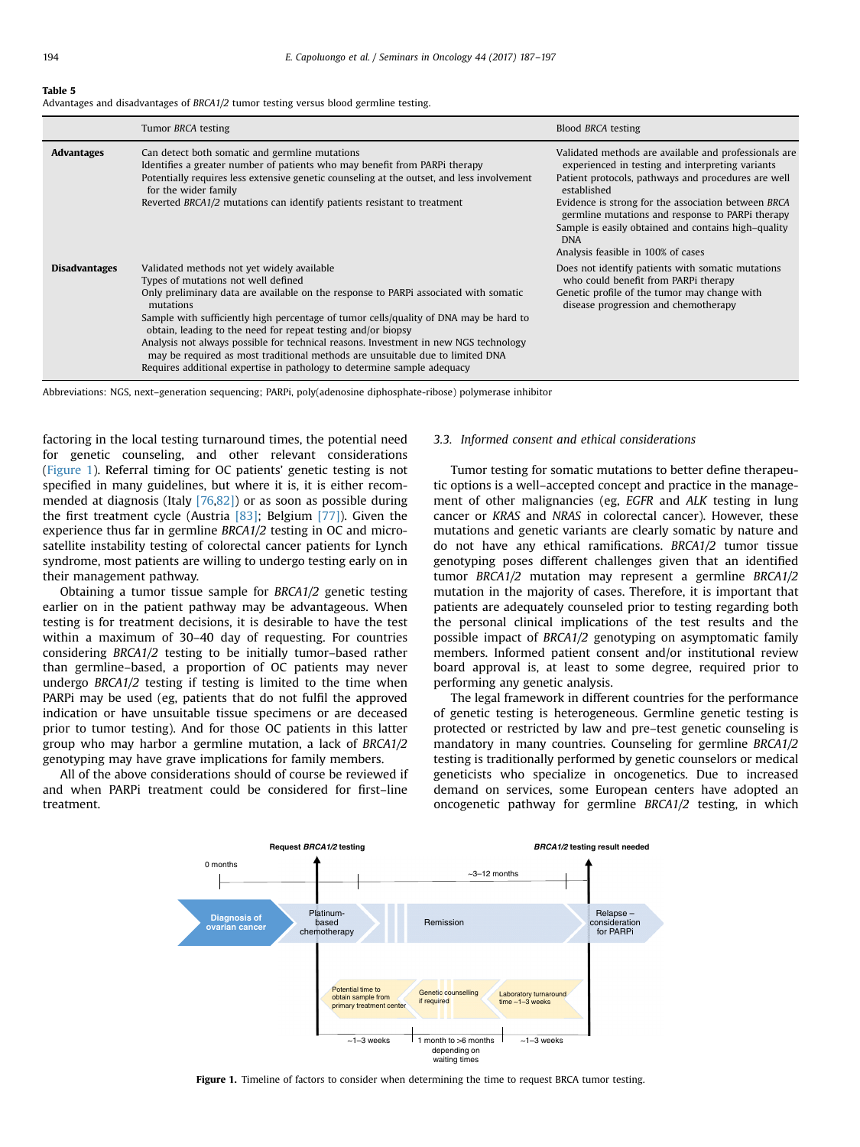#### <span id="page-8-0"></span>Table 5

Advantages and disadvantages of BRCA1/2 tumor testing versus blood germline testing.

|                      | Tumor BRCA testing                                                                                                                                                                                                                                                                                                                                                                                                                                                                                                                                                                                  | Blood BRCA testing                                                                                                                                                                                                                                                                                                                                                                                    |
|----------------------|-----------------------------------------------------------------------------------------------------------------------------------------------------------------------------------------------------------------------------------------------------------------------------------------------------------------------------------------------------------------------------------------------------------------------------------------------------------------------------------------------------------------------------------------------------------------------------------------------------|-------------------------------------------------------------------------------------------------------------------------------------------------------------------------------------------------------------------------------------------------------------------------------------------------------------------------------------------------------------------------------------------------------|
| <b>Advantages</b>    | Can detect both somatic and germline mutations<br>Identifies a greater number of patients who may benefit from PARPi therapy<br>Potentially requires less extensive genetic counseling at the outset, and less involvement<br>for the wider family<br>Reverted BRCA1/2 mutations can identify patients resistant to treatment                                                                                                                                                                                                                                                                       | Validated methods are available and professionals are<br>experienced in testing and interpreting variants<br>Patient protocols, pathways and procedures are well<br>established<br>Evidence is strong for the association between BRCA<br>germline mutations and response to PARPi therapy<br>Sample is easily obtained and contains high-quality<br><b>DNA</b><br>Analysis feasible in 100% of cases |
| <b>Disadvantages</b> | Validated methods not yet widely available<br>Types of mutations not well defined<br>Only preliminary data are available on the response to PARPi associated with somatic<br>mutations<br>Sample with sufficiently high percentage of tumor cells/quality of DNA may be hard to<br>obtain, leading to the need for repeat testing and/or biopsy<br>Analysis not always possible for technical reasons. Investment in new NGS technology<br>may be required as most traditional methods are unsuitable due to limited DNA<br>Requires additional expertise in pathology to determine sample adequacy | Does not identify patients with somatic mutations<br>who could benefit from PARPi therapy<br>Genetic profile of the tumor may change with<br>disease progression and chemotherapy                                                                                                                                                                                                                     |

Abbreviations: NGS, next–generation sequencing; PARPi, poly(adenosine diphosphate-ribose) polymerase inhibitor

factoring in the local testing turnaround times, the potential need for genetic counseling, and other relevant considerations (Figure 1). Referral timing for OC patients' genetic testing is not specified in many guidelines, but where it is, it is either recommended at diagnosis (Italy [\[76,82\]](#page-11-0)) or as soon as possible during the first treatment cycle (Austria [\[83\];](#page-11-0) Belgium [\[77\]\)](#page-11-0). Given the experience thus far in germline BRCA1/2 testing in OC and microsatellite instability testing of colorectal cancer patients for Lynch syndrome, most patients are willing to undergo testing early on in their management pathway.

Obtaining a tumor tissue sample for BRCA1/2 genetic testing earlier on in the patient pathway may be advantageous. When testing is for treatment decisions, it is desirable to have the test within a maximum of 30–40 day of requesting. For countries considering BRCA1/2 testing to be initially tumor–based rather than germline–based, a proportion of OC patients may never undergo BRCA1/2 testing if testing is limited to the time when PARPi may be used (eg, patients that do not fulfil the approved indication or have unsuitable tissue specimens or are deceased prior to tumor testing). And for those OC patients in this latter group who may harbor a germline mutation, a lack of BRCA1/2 genotyping may have grave implications for family members.

All of the above considerations should of course be reviewed if and when PARPi treatment could be considered for first–line treatment.

## 3.3. Informed consent and ethical considerations

Tumor testing for somatic mutations to better define therapeutic options is a well–accepted concept and practice in the management of other malignancies (eg, EGFR and ALK testing in lung cancer or KRAS and NRAS in colorectal cancer). However, these mutations and genetic variants are clearly somatic by nature and do not have any ethical ramifications. BRCA1/2 tumor tissue genotyping poses different challenges given that an identified tumor BRCA1/2 mutation may represent a germline BRCA1/2 mutation in the majority of cases. Therefore, it is important that patients are adequately counseled prior to testing regarding both the personal clinical implications of the test results and the possible impact of BRCA1/2 genotyping on asymptomatic family members. Informed patient consent and/or institutional review board approval is, at least to some degree, required prior to performing any genetic analysis.

The legal framework in different countries for the performance of genetic testing is heterogeneous. Germline genetic testing is protected or restricted by law and pre–test genetic counseling is mandatory in many countries. Counseling for germline BRCA1/2 testing is traditionally performed by genetic counselors or medical geneticists who specialize in oncogenetics. Due to increased demand on services, some European centers have adopted an oncogenetic pathway for germline BRCA1/2 testing, in which



Figure 1. Timeline of factors to consider when determining the time to request BRCA tumor testing.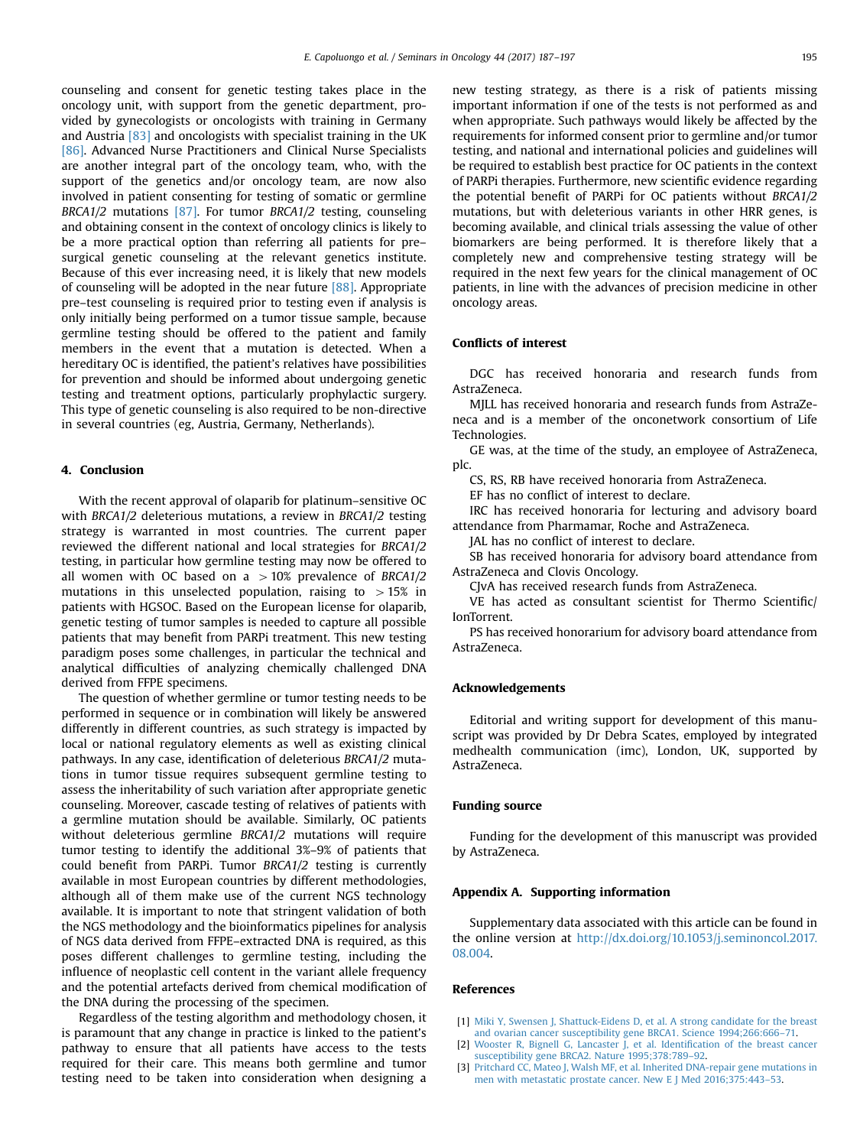<span id="page-9-0"></span>counseling and consent for genetic testing takes place in the oncology unit, with support from the genetic department, provided by gynecologists or oncologists with training in Germany and Austria [\[83\]](#page-11-0) and oncologists with specialist training in the UK [\[86\].](#page-11-0) Advanced Nurse Practitioners and Clinical Nurse Specialists are another integral part of the oncology team, who, with the support of the genetics and/or oncology team, are now also involved in patient consenting for testing of somatic or germline BRCA1/2 mutations [\[87\]](#page-11-0). For tumor BRCA1/2 testing, counseling and obtaining consent in the context of oncology clinics is likely to be a more practical option than referring all patients for pre– surgical genetic counseling at the relevant genetics institute. Because of this ever increasing need, it is likely that new models of counseling will be adopted in the near future [\[88\]](#page-11-0). Appropriate pre–test counseling is required prior to testing even if analysis is only initially being performed on a tumor tissue sample, because germline testing should be offered to the patient and family members in the event that a mutation is detected. When a hereditary OC is identified, the patient's relatives have possibilities for prevention and should be informed about undergoing genetic testing and treatment options, particularly prophylactic surgery. This type of genetic counseling is also required to be non-directive in several countries (eg, Austria, Germany, Netherlands).

# 4. Conclusion

With the recent approval of olaparib for platinum–sensitive OC with BRCA1/2 deleterious mutations, a review in BRCA1/2 testing strategy is warranted in most countries. The current paper reviewed the different national and local strategies for BRCA1/2 testing, in particular how germline testing may now be offered to all women with OC based on a  $>10\%$  prevalence of BRCA1/2 mutations in this unselected population, raising to  $>15\%$  in patients with HGSOC. Based on the European license for olaparib, genetic testing of tumor samples is needed to capture all possible patients that may benefit from PARPi treatment. This new testing paradigm poses some challenges, in particular the technical and analytical difficulties of analyzing chemically challenged DNA derived from FFPE specimens.

The question of whether germline or tumor testing needs to be performed in sequence or in combination will likely be answered differently in different countries, as such strategy is impacted by local or national regulatory elements as well as existing clinical pathways. In any case, identification of deleterious BRCA1/2 mutations in tumor tissue requires subsequent germline testing to assess the inheritability of such variation after appropriate genetic counseling. Moreover, cascade testing of relatives of patients with a germline mutation should be available. Similarly, OC patients without deleterious germline BRCA1/2 mutations will require tumor testing to identify the additional 3%–9% of patients that could benefit from PARPi. Tumor BRCA1/2 testing is currently available in most European countries by different methodologies, although all of them make use of the current NGS technology available. It is important to note that stringent validation of both the NGS methodology and the bioinformatics pipelines for analysis of NGS data derived from FFPE–extracted DNA is required, as this poses different challenges to germline testing, including the influence of neoplastic cell content in the variant allele frequency and the potential artefacts derived from chemical modification of the DNA during the processing of the specimen.

Regardless of the testing algorithm and methodology chosen, it is paramount that any change in practice is linked to the patient's pathway to ensure that all patients have access to the tests required for their care. This means both germline and tumor testing need to be taken into consideration when designing a

new testing strategy, as there is a risk of patients missing important information if one of the tests is not performed as and when appropriate. Such pathways would likely be affected by the requirements for informed consent prior to germline and/or tumor testing, and national and international policies and guidelines will be required to establish best practice for OC patients in the context of PARPi therapies. Furthermore, new scientific evidence regarding the potential benefit of PARPi for OC patients without BRCA1/2 mutations, but with deleterious variants in other HRR genes, is becoming available, and clinical trials assessing the value of other biomarkers are being performed. It is therefore likely that a completely new and comprehensive testing strategy will be required in the next few years for the clinical management of OC patients, in line with the advances of precision medicine in other oncology areas.

## Conflicts of interest

DGC has received honoraria and research funds from AstraZeneca.

MJLL has received honoraria and research funds from AstraZeneca and is a member of the onconetwork consortium of Life Technologies.

GE was, at the time of the study, an employee of AstraZeneca, plc.

CS, RS, RB have received honoraria from AstraZeneca.

EF has no conflict of interest to declare.

IRC has received honoraria for lecturing and advisory board attendance from Pharmamar, Roche and AstraZeneca.

JAL has no conflict of interest to declare.

SB has received honoraria for advisory board attendance from AstraZeneca and Clovis Oncology.

CJvA has received research funds from AstraZeneca.

VE has acted as consultant scientist for Thermo Scientific/ IonTorrent.

PS has received honorarium for advisory board attendance from AstraZeneca.

#### Acknowledgements

Editorial and writing support for development of this manuscript was provided by Dr Debra Scates, employed by integrated medhealth communication (imc), London, UK, supported by AstraZeneca.

## Funding source

Funding for the development of this manuscript was provided by AstraZeneca.

#### Appendix A. Supporting information

Supplementary data associated with this article can be found in the online version at [http://dx.doi.org/10.1053/j.seminoncol.2017.](http://dx.doi.org/10.1053/j.seminoncol.2017.08.004) [08.004.](http://dx.doi.org/10.1053/j.seminoncol.2017.08.004)

#### References

- [1] [Miki Y, Swensen J, Shattuck-Eidens D, et al. A strong candidate for the breast](http://refhub.elsevier.com/S0093-7754(17)30052-0/sbref0005) [and ovarian cancer susceptibility gene BRCA1. Science 1994;266:666](http://refhub.elsevier.com/S0093-7754(17)30052-0/sbref0005)–71.
- [2] [Wooster R, Bignell G, Lancaster J, et al. Identi](http://refhub.elsevier.com/S0093-7754(17)30052-0/sbref0010)fication of the breast cancer [susceptibility gene BRCA2. Nature 1995;378:789](http://refhub.elsevier.com/S0093-7754(17)30052-0/sbref0010)–92.
- [3] [Pritchard CC, Mateo J, Walsh MF, et al. Inherited DNA-repair gene mutations in](http://refhub.elsevier.com/S0093-7754(17)30052-0/sbref0015) [men with metastatic prostate cancer. New E J Med 2016;375:443](http://refhub.elsevier.com/S0093-7754(17)30052-0/sbref0015)–53.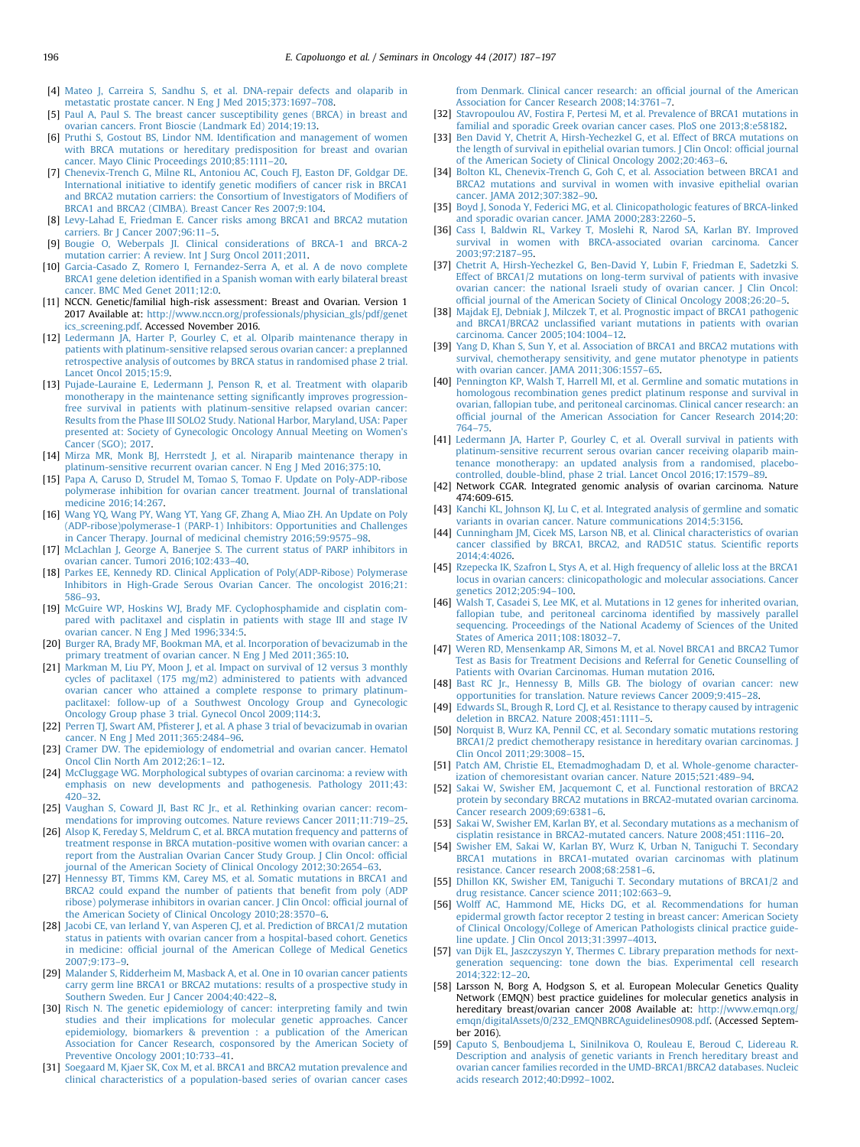- <span id="page-10-0"></span>[4] [Mateo J, Carreira S, Sandhu S, et al. DNA-repair defects and olaparib in](http://refhub.elsevier.com/S0093-7754(17)30052-0/sbref0020) [metastatic prostate cancer. N Eng J Med 2015;373:1697](http://refhub.elsevier.com/S0093-7754(17)30052-0/sbref0020)–708.
- [5] [Paul A, Paul S. The breast cancer susceptibility genes \(BRCA\) in breast and](http://refhub.elsevier.com/S0093-7754(17)30052-0/sbref0025) [ovarian cancers. Front Bioscie \(Landmark Ed\) 2014;19:13.](http://refhub.elsevier.com/S0093-7754(17)30052-0/sbref0025)
- [6] [Pruthi S, Gostout BS, Lindor NM. Identi](http://refhub.elsevier.com/S0093-7754(17)30052-0/sbref0030)fication and management of women [with BRCA mutations or hereditary predisposition for breast and ovarian](http://refhub.elsevier.com/S0093-7754(17)30052-0/sbref0030) [cancer. Mayo Clinic Proceedings 2010;85:1111](http://refhub.elsevier.com/S0093-7754(17)30052-0/sbref0030)–20.
- [7] [Chenevix-Trench G, Milne RL, Antoniou AC, Couch FJ, Easton DF, Goldgar DE.](http://refhub.elsevier.com/S0093-7754(17)30052-0/sbref0035) [International initiative to identify genetic modi](http://refhub.elsevier.com/S0093-7754(17)30052-0/sbref0035)fiers of cancer risk in BRCA1 [and BRCA2 mutation carriers: the Consortium of Investigators of Modi](http://refhub.elsevier.com/S0093-7754(17)30052-0/sbref0035)fiers of [BRCA1 and BRCA2 \(CIMBA\). Breast Cancer Res 2007;9:104.](http://refhub.elsevier.com/S0093-7754(17)30052-0/sbref0035)
- [8] [Levy-Lahad E, Friedman E. Cancer risks among BRCA1 and BRCA2 mutation](http://refhub.elsevier.com/S0093-7754(17)30052-0/sbref0040) [carriers. Br J Cancer 2007;96:11](http://refhub.elsevier.com/S0093-7754(17)30052-0/sbref0040)–5.
- [9] [Bougie O, Weberpals JI. Clinical considerations of BRCA-1 and BRCA-2](http://refhub.elsevier.com/S0093-7754(17)30052-0/sbref0045) [mutation carrier: A review. Int J Surg Oncol 2011;2011.](http://refhub.elsevier.com/S0093-7754(17)30052-0/sbref0045)
- [10] [Garcia-Casado Z, Romero I, Fernandez-Serra A, et al. A de novo complete](http://refhub.elsevier.com/S0093-7754(17)30052-0/sbref0050) BRCA1 gene deletion identifi[ed in a Spanish woman with early bilateral breast](http://refhub.elsevier.com/S0093-7754(17)30052-0/sbref0050) [cancer. BMC Med Genet 2011;12:0.](http://refhub.elsevier.com/S0093-7754(17)30052-0/sbref0050)
- [11] NCCN. Genetic/familial high-risk assessment: Breast and Ovarian. Version 1 2017 Available at: [http://www.nccn.org/professionals/physician\\_gls/pdf/genet](http://www.nccn.org/professionals/physician_gls/pdf/genetics_screening.pdf) [ics\\_screening.pdf.](http://www.nccn.org/professionals/physician_gls/pdf/genetics_screening.pdf) Accessed November 2016.
- [12] [Ledermann JA, Harter P, Gourley C, et al. Olparib maintenance therapy in](http://refhub.elsevier.com/S0093-7754(17)30052-0/sbref0060) [patients with platinum-sensitive relapsed serous ovarian cancer: a preplanned](http://refhub.elsevier.com/S0093-7754(17)30052-0/sbref0060) [retrospective analysis of outcomes by BRCA status in randomised phase 2 trial.](http://refhub.elsevier.com/S0093-7754(17)30052-0/sbref0060) [Lancet Oncol 2015;15:9.](http://refhub.elsevier.com/S0093-7754(17)30052-0/sbref0060)
- [13] [Pujade-Lauraine E, Ledermann J, Penson R, et al. Treatment with olaparib](http://refhub.elsevier.com/S0093-7754(17)30052-0/sbref0065) [monotherapy in the maintenance setting signi](http://refhub.elsevier.com/S0093-7754(17)30052-0/sbref0065)ficantly improves progression[free survival in patients with platinum-sensitive relapsed ovarian cancer:](http://refhub.elsevier.com/S0093-7754(17)30052-0/sbref0065) [Results from the Phase III SOLO2 Study. National Harbor, Maryland, USA: Paper](http://refhub.elsevier.com/S0093-7754(17)30052-0/sbref0065) [presented at: Society of Gynecologic Oncology Annual Meeting on Women](http://refhub.elsevier.com/S0093-7754(17)30052-0/sbref0065)'s [Cancer \(SGO\); 2017.](http://refhub.elsevier.com/S0093-7754(17)30052-0/sbref0065)
- [14] [Mirza MR, Monk BJ, Herrstedt J, et al. Niraparib maintenance therapy in](http://refhub.elsevier.com/S0093-7754(17)30052-0/sbref0070) [platinum-sensitive recurrent ovarian cancer. N Eng J Med 2016;375:10.](http://refhub.elsevier.com/S0093-7754(17)30052-0/sbref0070)
- [15] [Papa A, Caruso D, Strudel M, Tomao S, Tomao F. Update on Poly-ADP-ribose](http://refhub.elsevier.com/S0093-7754(17)30052-0/sbref0075) [polymerase inhibition for ovarian cancer treatment. Journal of translational](http://refhub.elsevier.com/S0093-7754(17)30052-0/sbref0075) [medicine 2016;14:267.](http://refhub.elsevier.com/S0093-7754(17)30052-0/sbref0075)
- [16] [Wang YQ, Wang PY, Wang YT, Yang GF, Zhang A, Miao ZH. An Update on Poly](http://refhub.elsevier.com/S0093-7754(17)30052-0/sbref0080) [\(ADP-ribose\)polymerase-1 \(PARP-1\) Inhibitors: Opportunities and Challenges](http://refhub.elsevier.com/S0093-7754(17)30052-0/sbref0080) [in Cancer Therapy. Journal of medicinal chemistry 2016;59:9575](http://refhub.elsevier.com/S0093-7754(17)30052-0/sbref0080)–98.
- [17] [McLachlan J, George A, Banerjee S. The current status of PARP inhibitors in](http://refhub.elsevier.com/S0093-7754(17)30052-0/sbref0085) [ovarian cancer. Tumori 2016;102:433](http://refhub.elsevier.com/S0093-7754(17)30052-0/sbref0085)–40.
- [18] [Parkes EE, Kennedy RD. Clinical Application of Poly\(ADP-Ribose\) Polymerase](http://refhub.elsevier.com/S0093-7754(17)30052-0/sbref0090) [Inhibitors in High-Grade Serous Ovarian Cancer. The oncologist 2016;21:](http://refhub.elsevier.com/S0093-7754(17)30052-0/sbref0090) [586](http://refhub.elsevier.com/S0093-7754(17)30052-0/sbref0090)–93.
- [19] [McGuire WP, Hoskins WJ, Brady MF. Cyclophosphamide and cisplatin com](http://refhub.elsevier.com/S0093-7754(17)30052-0/sbref0095)[pared with paclitaxel and cisplatin in patients with stage III and stage IV](http://refhub.elsevier.com/S0093-7754(17)30052-0/sbref0095) [ovarian cancer. N Eng J Med 1996;334:5.](http://refhub.elsevier.com/S0093-7754(17)30052-0/sbref0095)
- [20] Burger RA, [Brady MF, Bookman MA, et al. Incorporation of bevacizumab in the](http://refhub.elsevier.com/S0093-7754(17)30052-0/sbref0100) [primary treatment of ovarian cancer. N Eng J Med 2011;365:10.](http://refhub.elsevier.com/S0093-7754(17)30052-0/sbref0100)
- [21] [Markman M, Liu PY, Moon J, et al. Impact on survival of 12 versus 3 monthly](http://refhub.elsevier.com/S0093-7754(17)30052-0/sbref0105) [cycles of paclitaxel \(175 mg/m2\) administered to patients with advanced](http://refhub.elsevier.com/S0093-7754(17)30052-0/sbref0105) [ovarian cancer who attained a complete response to primary platinum](http://refhub.elsevier.com/S0093-7754(17)30052-0/sbref0105)[paclitaxel: follow-up of a Southwest Oncology Group and Gynecologic](http://refhub.elsevier.com/S0093-7754(17)30052-0/sbref0105) [Oncology Group phase 3 trial. Gynecol Oncol 2009;114:3.](http://refhub.elsevier.com/S0093-7754(17)30052-0/sbref0105)
- [22] Perren TJ, Swart AM, Pfi[sterer J, et al. A phase 3 trial of bevacizumab in ovarian](http://refhub.elsevier.com/S0093-7754(17)30052-0/sbref0110) [cancer. N Eng J Med 2011;365:2484](http://refhub.elsevier.com/S0093-7754(17)30052-0/sbref0110)–96.
- [23] [Cramer DW. The epidemiology of endometrial and ovarian cancer. Hematol](http://refhub.elsevier.com/S0093-7754(17)30052-0/sbref0115) [Oncol Clin North Am 2012;26:1](http://refhub.elsevier.com/S0093-7754(17)30052-0/sbref0115)–12.
- [24] [McCluggage WG. Morphological subtypes of ovarian carcinoma: a review with](http://refhub.elsevier.com/S0093-7754(17)30052-0/sbref0120) [emphasis on new developments and pathogenesis. Pathology 2011;43:](http://refhub.elsevier.com/S0093-7754(17)30052-0/sbref0120) [420](http://refhub.elsevier.com/S0093-7754(17)30052-0/sbref0120)–32.
- [25] [Vaughan S, Coward JI, Bast RC Jr., et al. Rethinking ovarian cancer: recom](http://refhub.elsevier.com/S0093-7754(17)30052-0/sbref0125)[mendations for improving outcomes. Nature reviews Cancer 2011;11:719](http://refhub.elsevier.com/S0093-7754(17)30052-0/sbref0125)–25.
- [26] [Alsop K, Fereday S, Meldrum C, et al. BRCA mutation frequency and patterns of](http://refhub.elsevier.com/S0093-7754(17)30052-0/sbref0130) [treatment response in BRCA mutation-positive women with ovarian cancer: a](http://refhub.elsevier.com/S0093-7754(17)30052-0/sbref0130) [report from the Australian Ovarian Cancer Study Group. J Clin Oncol: of](http://refhub.elsevier.com/S0093-7754(17)30052-0/sbref0130)ficial [journal of the American Society of Clinical Oncology 2012;30:2654](http://refhub.elsevier.com/S0093-7754(17)30052-0/sbref0130)–63.
- [27] [Hennessy BT, Timms KM, Carey MS, et al. Somatic mutations in BRCA1 and](http://refhub.elsevier.com/S0093-7754(17)30052-0/sbref0135) [BRCA2 could expand the number of patients that bene](http://refhub.elsevier.com/S0093-7754(17)30052-0/sbref0135)fit from poly (ADP [ribose\) polymerase inhibitors in ovarian cancer. J Clin Oncol: of](http://refhub.elsevier.com/S0093-7754(17)30052-0/sbref0135)ficial journal of [the American Society of Clinical Oncology 2010;28:3570](http://refhub.elsevier.com/S0093-7754(17)30052-0/sbref0135)–6.
- [28] [Jacobi CE, van Ierland Y, van Asperen CJ, et al. Prediction of BRCA1/2 mutation](http://refhub.elsevier.com/S0093-7754(17)30052-0/sbref0140) [status in patients with ovarian cancer from a hospital-based cohort. Genetics](http://refhub.elsevier.com/S0093-7754(17)30052-0/sbref0140) in medicine: offi[cial journal of the American College of Medical Genetics](http://refhub.elsevier.com/S0093-7754(17)30052-0/sbref0140) [2007;9:173](http://refhub.elsevier.com/S0093-7754(17)30052-0/sbref0140)–9.
- [29] [Malander S, Ridderheim M, Masback A, et al. One in 10 ovarian cancer patients](http://refhub.elsevier.com/S0093-7754(17)30052-0/sbref0145) [carry germ line BRCA1 or BRCA2 mutations: results of a prospective study in](http://refhub.elsevier.com/S0093-7754(17)30052-0/sbref0145) [Southern Sweden. Eur J Cancer 2004;40:422](http://refhub.elsevier.com/S0093-7754(17)30052-0/sbref0145)–8.
- [30] [Risch N. The genetic epidemiology of cancer: interpreting family and twin](http://refhub.elsevier.com/S0093-7754(17)30052-0/sbref0150) [studies and their implications for molecular genetic approaches. Cancer](http://refhub.elsevier.com/S0093-7754(17)30052-0/sbref0150) [epidemiology, biomarkers](http://refhub.elsevier.com/S0093-7754(17)30052-0/sbref0150) & [prevention : a publication of the American](http://refhub.elsevier.com/S0093-7754(17)30052-0/sbref0150) [Association for Cancer Research, cosponsored by the American Society of](http://refhub.elsevier.com/S0093-7754(17)30052-0/sbref0150) [Preventive Oncology 2001;10:733](http://refhub.elsevier.com/S0093-7754(17)30052-0/sbref0150)–41.
- [31] [Soegaard M, Kjaer SK, Cox M, et al. BRCA1 and BRCA2 mutation prevalence and](http://refhub.elsevier.com/S0093-7754(17)30052-0/sbref0155) [clinical characteristics of a population-based series of ovarian cancer cases](http://refhub.elsevier.com/S0093-7754(17)30052-0/sbref0155)

[from Denmark. Clinical cancer research: an of](http://refhub.elsevier.com/S0093-7754(17)30052-0/sbref0155)ficial journal of the American [Association for Cancer Research 2008;14:3761](http://refhub.elsevier.com/S0093-7754(17)30052-0/sbref0155)–7.

- [32] [Stavropoulou AV, Fostira F, Pertesi M, et al. Prevalence of BRCA1 mutations in](http://refhub.elsevier.com/S0093-7754(17)30052-0/sbref0160) [familial and sporadic Greek ovarian cancer cases. PloS one 2013;8:e58182.](http://refhub.elsevier.com/S0093-7754(17)30052-0/sbref0160)
- [33] [Ben David Y, Chetrit A, Hirsh-Yechezkel G, et al. Effect of BRCA mutations on](http://refhub.elsevier.com/S0093-7754(17)30052-0/sbref0165) [the length of survival in epithelial ovarian tumors. J Clin Oncol: of](http://refhub.elsevier.com/S0093-7754(17)30052-0/sbref0165)ficial journal of [the American Society of Clinical Oncology 2002;20:463](http://refhub.elsevier.com/S0093-7754(17)30052-0/sbref0165)–6.
- [34] [Bolton KL, Chenevix-Trench G, Goh C, et al. Association between BRCA1 and](http://refhub.elsevier.com/S0093-7754(17)30052-0/sbref0170) [BRCA2 mutations and survival in women with invasive epithelial ovarian](http://refhub.elsevier.com/S0093-7754(17)30052-0/sbref0170) [cancer. JAMA 2012;307:382](http://refhub.elsevier.com/S0093-7754(17)30052-0/sbref0170)–90.
- [35] [Boyd J, Sonoda Y, Federici MG, et al. Clinicopathologic features of BRCA-linked](http://refhub.elsevier.com/S0093-7754(17)30052-0/sbref0175) [and sporadic ovarian cancer. JAMA 2000;283:2260](http://refhub.elsevier.com/S0093-7754(17)30052-0/sbref0175)–5. [36] [Cass I, Baldwin RL, Varkey T, Moslehi R, Narod SA, Karlan BY. Improved](http://refhub.elsevier.com/S0093-7754(17)30052-0/sbref0180)
- [survival in women with BRCA-associated ovarian carcinoma. Cancer](http://refhub.elsevier.com/S0093-7754(17)30052-0/sbref0180) [2003;97:2187](http://refhub.elsevier.com/S0093-7754(17)30052-0/sbref0180)–95.
- [37] [Chetrit A, Hirsh-Yechezkel G, Ben-David Y, Lubin F, Friedman E, Sadetzki S.](http://refhub.elsevier.com/S0093-7754(17)30052-0/sbref0185) [Effect of BRCA1/2 mutations on long-term survival of patients with invasive](http://refhub.elsevier.com/S0093-7754(17)30052-0/sbref0185) [ovarian cancer: the national Israeli study of ovarian cancer. J Clin Oncol:](http://refhub.elsevier.com/S0093-7754(17)30052-0/sbref0185) offi[cial journal of the American Society of Clinical Oncology 2008;26:20](http://refhub.elsevier.com/S0093-7754(17)30052-0/sbref0185)–5.
- [38] [Majdak EJ, Debniak J, Milczek T, et al. Prognostic impact of BRCA1 pathogenic](http://refhub.elsevier.com/S0093-7754(17)30052-0/sbref0190) and BRCA1/BRCA2 unclassifi[ed variant mutations in patients with ovarian](http://refhub.elsevier.com/S0093-7754(17)30052-0/sbref0190) [carcinoma. Cancer 2005;104:1004](http://refhub.elsevier.com/S0093-7754(17)30052-0/sbref0190)–12.
- [39] [Yang D, Khan S, Sun Y, et al. Association of BRCA1 and BRCA2 mutations with](http://refhub.elsevier.com/S0093-7754(17)30052-0/sbref0195) [survival, chemotherapy sensitivity, and gene mutator phenotype in patients](http://refhub.elsevier.com/S0093-7754(17)30052-0/sbref0195) [with ovarian cancer. JAMA 2011;306:1557](http://refhub.elsevier.com/S0093-7754(17)30052-0/sbref0195)–65.
- [40] [Pennington KP, Walsh T, Harrell MI, et al. Germline and somatic mutations in](http://refhub.elsevier.com/S0093-7754(17)30052-0/sbref0200) [homologous recombination genes predict platinum response and survival in](http://refhub.elsevier.com/S0093-7754(17)30052-0/sbref0200) [ovarian, fallopian tube, and peritoneal carcinomas. Clinical cancer research: an](http://refhub.elsevier.com/S0093-7754(17)30052-0/sbref0200) offi[cial journal of the American Association for Cancer Research 2014;20:](http://refhub.elsevier.com/S0093-7754(17)30052-0/sbref0200) [764](http://refhub.elsevier.com/S0093-7754(17)30052-0/sbref0200)–75.
- [41] [Ledermann JA, Harter P, Gourley C, et al. Overall survival in patients with](http://refhub.elsevier.com/S0093-7754(17)30052-0/sbref0205) [platinum-sensitive recurrent serous ovarian cancer receiving olaparib main](http://refhub.elsevier.com/S0093-7754(17)30052-0/sbref0205)[tenance monotherapy: an updated analysis from a randomised, placebo](http://refhub.elsevier.com/S0093-7754(17)30052-0/sbref0205)[controlled, double-blind, phase 2 trial. Lancet Oncol 2016;17:1579](http://refhub.elsevier.com/S0093-7754(17)30052-0/sbref0205)–89.
- [42] Network CGAR. Integrated genomic analysis of ovarian carcinoma. Nature 474:609-615.
- [43] [Kanchi KL, Johnson KJ, Lu C, et al. Integrated analysis of germline and somatic](http://refhub.elsevier.com/S0093-7754(17)30052-0/sbref0210) [variants in ovarian cancer. Nature communications 2014;5:3156.](http://refhub.elsevier.com/S0093-7754(17)30052-0/sbref0210)
- [44] [Cunningham JM, Cicek MS, Larson NB, et al. Clinical characteristics of ovarian](http://refhub.elsevier.com/S0093-7754(17)30052-0/sbref0215) cancer classifi[ed by BRCA1, BRCA2, and RAD51C status. Scienti](http://refhub.elsevier.com/S0093-7754(17)30052-0/sbref0215)fic reports [2014;4:4026.](http://refhub.elsevier.com/S0093-7754(17)30052-0/sbref0215)
- [45] [Rzepecka IK, Szafron L, Stys A, et al. High frequency of allelic loss at the BRCA1](http://refhub.elsevier.com/S0093-7754(17)30052-0/sbref0220) [locus in ovarian cancers: clinicopathologic and molecular associations. Cancer](http://refhub.elsevier.com/S0093-7754(17)30052-0/sbref0220) [genetics 2012;205:94](http://refhub.elsevier.com/S0093-7754(17)30052-0/sbref0220)–100.
- [46] [Walsh T, Casadei S, Lee MK, et al. Mutations in 12 genes for inherited ovarian,](http://refhub.elsevier.com/S0093-7754(17)30052-0/sbref0225) [fallopian tube, and peritoneal carcinoma identi](http://refhub.elsevier.com/S0093-7754(17)30052-0/sbref0225)fied by massively parallel [sequencing. Proceedings of the National Academy of Sciences of the United](http://refhub.elsevier.com/S0093-7754(17)30052-0/sbref0225) [States of America 2011;108:18032](http://refhub.elsevier.com/S0093-7754(17)30052-0/sbref0225)–7.
- [47] [Weren RD, Mensenkamp AR, Simons M, et al. Novel BRCA1 and BRCA2 Tumor](http://refhub.elsevier.com/S0093-7754(17)30052-0/sbref0230) [Test as Basis for Treatment Decisions and Referral for Genetic Counselling of](http://refhub.elsevier.com/S0093-7754(17)30052-0/sbref0230) [Patients with Ovarian Carcinomas. Human mutation 2016.](http://refhub.elsevier.com/S0093-7754(17)30052-0/sbref0230)
- [48] [Bast RC Jr., Hennessy B, Mills GB. The biology of ovarian cancer: new](http://refhub.elsevier.com/S0093-7754(17)30052-0/sbref0235) [opportunities for translation. Nature reviews Cancer 2009;9:415](http://refhub.elsevier.com/S0093-7754(17)30052-0/sbref0235)–28.
- [49] [Edwards SL, Brough R, Lord CJ, et al. Resistance to therapy caused by intragenic](http://refhub.elsevier.com/S0093-7754(17)30052-0/sbref0240) [deletion in BRCA2. Nature 2008;451:1111](http://refhub.elsevier.com/S0093-7754(17)30052-0/sbref0240)–5.
- [50] [Norquist B, Wurz KA, Pennil CC, et al. Secondary somatic mutations restoring](http://refhub.elsevier.com/S0093-7754(17)30052-0/sbref0245) [BRCA1/2 predict chemotherapy resistance in hereditary ovarian carcinomas. J](http://refhub.elsevier.com/S0093-7754(17)30052-0/sbref0245) [Clin Oncol 2011;29:3008](http://refhub.elsevier.com/S0093-7754(17)30052-0/sbref0245)–15.
- [51] [Patch AM, Christie EL, Etemadmoghadam D, et al. Whole-genome character](http://refhub.elsevier.com/S0093-7754(17)30052-0/sbref0250)[ization of chemoresistant ovarian cancer. Nature 2015;521:489](http://refhub.elsevier.com/S0093-7754(17)30052-0/sbref0250)–94.
- [52] [Sakai W, Swisher EM, Jacquemont C, et al. Functional restoration of BRCA2](http://refhub.elsevier.com/S0093-7754(17)30052-0/sbref0255) [protein by secondary BRCA2 mutations in BRCA2-mutated ovarian carcinoma.](http://refhub.elsevier.com/S0093-7754(17)30052-0/sbref0255) [Cancer research 2009;69:6381](http://refhub.elsevier.com/S0093-7754(17)30052-0/sbref0255)–6.
- [53] [Sakai W, Swisher EM, Karlan BY, et al. Secondary mutations as a mechanism of](http://refhub.elsevier.com/S0093-7754(17)30052-0/sbref0260) [cisplatin resistance in BRCA2-mutated cancers. Nature 2008;451:1116](http://refhub.elsevier.com/S0093-7754(17)30052-0/sbref0260)–20.
- [54] [Swisher EM, Sakai W, Karlan BY, Wurz K, Urban N, Taniguchi T. Secondary](http://refhub.elsevier.com/S0093-7754(17)30052-0/sbref0265) [BRCA1 mutations in BRCA1-mutated ovarian carcinomas with platinum](http://refhub.elsevier.com/S0093-7754(17)30052-0/sbref0265) [resistance. Cancer research 2008;68:2581](http://refhub.elsevier.com/S0093-7754(17)30052-0/sbref0265)–6.
- [55] [Dhillon KK, Swisher EM, Taniguchi T. Secondary mutations of BRCA1/2 and](http://refhub.elsevier.com/S0093-7754(17)30052-0/sbref0270) [drug resistance. Cancer science 2011;102:663](http://refhub.elsevier.com/S0093-7754(17)30052-0/sbref0270)–9.
- [56] [Wolff AC, Hammond ME, Hicks DG, et al. Recommendations for human](http://refhub.elsevier.com/S0093-7754(17)30052-0/sbref0275) [epidermal growth factor receptor 2 testing in breast cancer: American Society](http://refhub.elsevier.com/S0093-7754(17)30052-0/sbref0275) [of Clinical Oncology/College of American Pathologists clinical practice guide](http://refhub.elsevier.com/S0093-7754(17)30052-0/sbref0275)[line update. J Clin Oncol 2013;31:3997](http://refhub.elsevier.com/S0093-7754(17)30052-0/sbref0275)–4013.
- [57] [van Dijk EL, Jaszczyszyn Y, Thermes C. Library preparation methods for next](http://refhub.elsevier.com/S0093-7754(17)30052-0/sbref0280)[generation sequencing: tone down the bias. Experimental cell research](http://refhub.elsevier.com/S0093-7754(17)30052-0/sbref0280) [2014;322:12](http://refhub.elsevier.com/S0093-7754(17)30052-0/sbref0280)–20.
- [58] Larsson N, Borg A, Hodgson S, et al. European Molecular Genetics Quality Network (EMQN) best practice guidelines for molecular genetics analysis in hereditary breast/ovarian cancer 2008 Available at: [http://www.emqn.org/](http://www.emqn.org/emqn/digitalAssets/0/232_EMQNBRCAguidelines0908.pdf) [emqn/digitalAssets/0/232\\_EMQNBRCAguidelines0908.pdf.](http://www.emqn.org/emqn/digitalAssets/0/232_EMQNBRCAguidelines0908.pdf) (Accessed September 2016).
- [59] [Caputo S, Benboudjema L, Sinilnikova O, Rouleau E, Beroud C, Lidereau R.](http://refhub.elsevier.com/S0093-7754(17)30052-0/sbref0290) [Description and analysis of genetic variants in French hereditary breast and](http://refhub.elsevier.com/S0093-7754(17)30052-0/sbref0290) [ovarian cancer families recorded in the UMD-BRCA1/BRCA2 databases. Nucleic](http://refhub.elsevier.com/S0093-7754(17)30052-0/sbref0290) [acids research 2012;40:D992](http://refhub.elsevier.com/S0093-7754(17)30052-0/sbref0290)–1002.